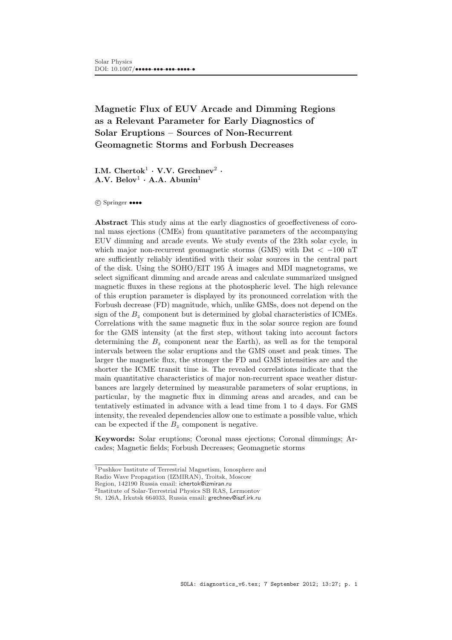# Magnetic Flux of EUV Arcade and Dimming Regions as a Relevant Parameter for Early Diagnostics of Solar Eruptions – Sources of Non-Recurrent Geomagnetic Storms and Forbush Decreases

I.M.  $\rm Chertok^1\cdot V.V.~\rm Grechner^2\cdot$  $A.V. Belov<sup>1</sup> · A.A. Abunin<sup>1</sup>$ 

°c Springer ••••

Abstract This study aims at the early diagnostics of geoeffectiveness of coronal mass ejections (CMEs) from quantitative parameters of the accompanying EUV dimming and arcade events. We study events of the 23th solar cycle, in which major non-recurrent geomagnetic storms (GMS) with Dst  $\lt$  -100 nT are sufficiently reliably identified with their solar sources in the central part of the disk. Using the SOHO/EIT 195 Å images and MDI magnetograms, we select significant dimming and arcade areas and calculate summarized unsigned magnetic fluxes in these regions at the photospheric level. The high relevance of this eruption parameter is displayed by its pronounced correlation with the Forbush decrease (FD) magnitude, which, unlike GMSs, does not depend on the sign of the  $B<sub>z</sub>$  component but is determined by global characteristics of ICMEs. Correlations with the same magnetic flux in the solar source region are found for the GMS intensity (at the first step, without taking into account factors determining the  $B<sub>z</sub>$  component near the Earth), as well as for the temporal intervals between the solar eruptions and the GMS onset and peak times. The larger the magnetic flux, the stronger the FD and GMS intensities are and the shorter the ICME transit time is. The revealed correlations indicate that the main quantitative characteristics of major non-recurrent space weather disturbances are largely determined by measurable parameters of solar eruptions, in particular, by the magnetic flux in dimming areas and arcades, and can be tentatively estimated in advance with a lead time from 1 to 4 days. For GMS intensity, the revealed dependencies allow one to estimate a possible value, which can be expected if the  $B<sub>z</sub>$  component is negative.

Keywords: Solar eruptions; Coronal mass ejections; Coronal dimmings; Arcades; Magnetic fields; Forbush Decreases; Geomagnetic storms

<sup>1</sup>Pushkov Institute of Terrestrial Magnetism, Ionosphere and

Radio Wave Propagation (IZMIRAN), Troitsk, Moscow

Region, 142190 Russia email: ichertok@izmiran.ru

<sup>2</sup> Institute of Solar-Terrestrial Physics SB RAS, Lermontov

St. 126A, Irkutsk 664033, Russia email: grechnev@iszf.irk.ru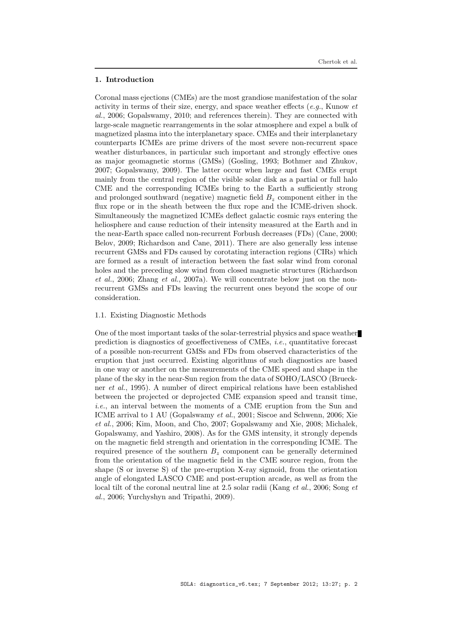#### 1. Introduction

Coronal mass ejections (CMEs) are the most grandiose manifestation of the solar activity in terms of their size, energy, and space weather effects  $(e.a., \text{Kunow } et)$ al., 2006; Gopalswamy, 2010; and references therein). They are connected with large-scale magnetic rearrangements in the solar atmosphere and expel a bulk of magnetized plasma into the interplanetary space. CMEs and their interplanetary counterparts ICMEs are prime drivers of the most severe non-recurrent space weather disturbances, in particular such important and strongly effective ones as major geomagnetic storms (GMSs) (Gosling, 1993; Bothmer and Zhukov, 2007; Gopalswamy, 2009). The latter occur when large and fast CMEs erupt mainly from the central region of the visible solar disk as a partial or full halo CME and the corresponding ICMEs bring to the Earth a sufficiently strong and prolonged southward (negative) magnetic field  $B<sub>z</sub>$  component either in the flux rope or in the sheath between the flux rope and the ICME-driven shock. Simultaneously the magnetized ICMEs deflect galactic cosmic rays entering the heliosphere and cause reduction of their intensity measured at the Earth and in the near-Earth space called non-recurrent Forbush decreases (FDs) (Cane, 2000; Belov, 2009; Richardson and Cane, 2011). There are also generally less intense recurrent GMSs and FDs caused by corotating interaction regions (CIRs) which are formed as a result of interaction between the fast solar wind from coronal holes and the preceding slow wind from closed magnetic structures (Richardson et al., 2006; Zhang et al., 2007a). We will concentrate below just on the nonrecurrent GMSs and FDs leaving the recurrent ones beyond the scope of our consideration.

# 1.1. Existing Diagnostic Methods

One of the most important tasks of the solar-terrestrial physics and space weather prediction is diagnostics of geoeffectiveness of CMEs, i.e., quantitative forecast of a possible non-recurrent GMSs and FDs from observed characteristics of the eruption that just occurred. Existing algorithms of such diagnostics are based in one way or another on the measurements of the CME speed and shape in the plane of the sky in the near-Sun region from the data of SOHO/LASCO (Brueckner et al., 1995). A number of direct empirical relations have been established between the projected or deprojected CME expansion speed and transit time, i.e., an interval between the moments of a CME eruption from the Sun and ICME arrival to 1 AU (Gopalswamy et al., 2001; Siscoe and Schwenn, 2006; Xie et al., 2006; Kim, Moon, and Cho, 2007; Gopalswamy and Xie, 2008; Michalek, Gopalswamy, and Yashiro, 2008). As for the GMS intensity, it strongly depends on the magnetic field strength and orientation in the corresponding ICME. The required presence of the southern  $B<sub>z</sub>$  component can be generally determined from the orientation of the magnetic field in the CME source region, from the shape (S or inverse S) of the pre-eruption X-ray sigmoid, from the orientation angle of elongated LASCO CME and post-eruption arcade, as well as from the local tilt of the coronal neutral line at 2.5 solar radii (Kang *et al.*, 2006; Song *et* al., 2006; Yurchyshyn and Tripathi, 2009).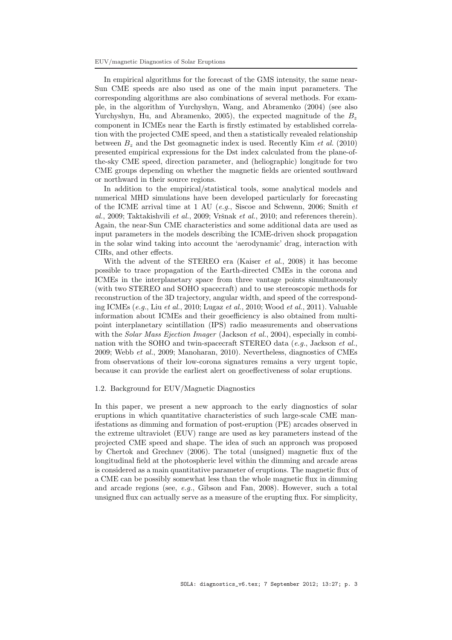In empirical algorithms for the forecast of the GMS intensity, the same near-Sun CME speeds are also used as one of the main input parameters. The corresponding algorithms are also combinations of several methods. For example, in the algorithm of Yurchyshyn, Wang, and Abramenko (2004) (see also Yurchyshyn, Hu, and Abramenko, 2005), the expected magnitude of the  $B_z$ component in ICMEs near the Earth is firstly estimated by established correlation with the projected CME speed, and then a statistically revealed relationship between  $B<sub>z</sub>$  and the Dst geomagnetic index is used. Recently Kim *et al.* (2010) presented empirical expressions for the Dst index calculated from the plane-ofthe-sky CME speed, direction parameter, and (heliographic) longitude for two CME groups depending on whether the magnetic fields are oriented southward or northward in their source regions.

In addition to the empirical/statistical tools, some analytical models and numerical MHD simulations have been developed particularly for forecasting of the ICME arrival time at 1 AU (e.g., Siscoe and Schwenn, 2006; Smith et al., 2009; Taktakishvili et al., 2009; Vršnak et al., 2010; and references therein). Again, the near-Sun CME characteristics and some additional data are used as input parameters in the models describing the ICME-driven shock propagation in the solar wind taking into account the 'aerodynamic' drag, interaction with CIRs, and other effects.

With the advent of the STEREO era (Kaiser et al., 2008) it has become possible to trace propagation of the Earth-directed CMEs in the corona and ICMEs in the interplanetary space from three vantage points simultaneously (with two STEREO and SOHO spacecraft) and to use stereoscopic methods for reconstruction of the 3D trajectory, angular width, and speed of the corresponding ICMEs (e.g., Liu et al., 2010; Lugaz et al., 2010; Wood et al., 2011). Valuable information about ICMEs and their geoefficiency is also obtained from multipoint interplanetary scintillation (IPS) radio measurements and observations with the *Solar Mass Ejection Imager* (Jackson *et al.*, 2004), especially in combination with the SOHO and twin-spacecraft STEREO data  $(e.g.,$  Jackson  $et al.,$ 2009; Webb et al., 2009; Manoharan, 2010). Nevertheless, diagnostics of CMEs from observations of their low-corona signatures remains a very urgent topic, because it can provide the earliest alert on geoeffectiveness of solar eruptions.

#### 1.2. Background for EUV/Magnetic Diagnostics

In this paper, we present a new approach to the early diagnostics of solar eruptions in which quantitative characteristics of such large-scale CME manifestations as dimming and formation of post-eruption (PE) arcades observed in the extreme ultraviolet (EUV) range are used as key parameters instead of the projected CME speed and shape. The idea of such an approach was proposed by Chertok and Grechnev (2006). The total (unsigned) magnetic flux of the longitudinal field at the photospheric level within the dimming and arcade areas is considered as a main quantitative parameter of eruptions. The magnetic flux of a CME can be possibly somewhat less than the whole magnetic flux in dimming and arcade regions (see, e.g., Gibson and Fan, 2008). However, such a total unsigned flux can actually serve as a measure of the erupting flux. For simplicity,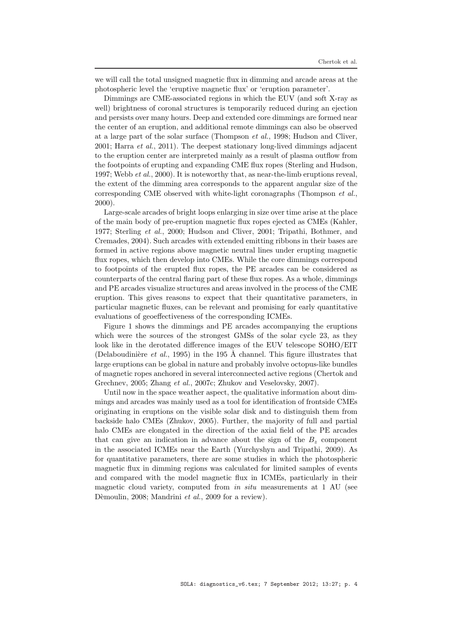we will call the total unsigned magnetic flux in dimming and arcade areas at the photospheric level the 'eruptive magnetic flux' or 'eruption parameter'.

Dimmings are CME-associated regions in which the EUV (and soft X-ray as well) brightness of coronal structures is temporarily reduced during an ejection and persists over many hours. Deep and extended core dimmings are formed near the center of an eruption, and additional remote dimmings can also be observed at a large part of the solar surface (Thompson et al., 1998; Hudson and Cliver, 2001; Harra et al., 2011). The deepest stationary long-lived dimmings adjacent to the eruption center are interpreted mainly as a result of plasma outflow from the footpoints of erupting and expanding CME flux ropes (Sterling and Hudson, 1997; Webb et al., 2000). It is noteworthy that, as near-the-limb eruptions reveal, the extent of the dimming area corresponds to the apparent angular size of the corresponding CME observed with white-light coronagraphs (Thompson et al., 2000).

Large-scale arcades of bright loops enlarging in size over time arise at the place of the main body of pre-eruption magnetic flux ropes ejected as CMEs (Kahler, 1977; Sterling et al., 2000; Hudson and Cliver, 2001; Tripathi, Bothmer, and Cremades, 2004). Such arcades with extended emitting ribbons in their bases are formed in active regions above magnetic neutral lines under erupting magnetic flux ropes, which then develop into CMEs. While the core dimmings correspond to footpoints of the erupted flux ropes, the PE arcades can be considered as counterparts of the central flaring part of these flux ropes. As a whole, dimmings and PE arcades visualize structures and areas involved in the process of the CME eruption. This gives reasons to expect that their quantitative parameters, in particular magnetic fluxes, can be relevant and promising for early quantitative evaluations of geoeffectiveness of the corresponding ICMEs.

Figure 1 shows the dimmings and PE arcades accompanying the eruptions which were the sources of the strongest GMSs of the solar cycle 23, as they look like in the derotated difference images of the EUV telescope SOHO/EIT (Delaboudinière et al., 1995) in the 195 Å channel. This figure illustrates that large eruptions can be global in nature and probably involve octopus-like bundles of magnetic ropes anchored in several interconnected active regions (Chertok and Grechnev, 2005; Zhang et al., 2007c; Zhukov and Veselovsky, 2007).

Until now in the space weather aspect, the qualitative information about dimmings and arcades was mainly used as a tool for identification of frontside CMEs originating in eruptions on the visible solar disk and to distinguish them from backside halo CMEs (Zhukov, 2005). Further, the majority of full and partial halo CMEs are elongated in the direction of the axial field of the PE arcades that can give an indication in advance about the sign of the  $B<sub>z</sub>$  component in the associated ICMEs near the Earth (Yurchyshyn and Tripathi, 2009). As for quantitative parameters, there are some studies in which the photospheric magnetic flux in dimming regions was calculated for limited samples of events and compared with the model magnetic flux in ICMEs, particularly in their magnetic cloud variety, computed from *in situ* measurements at 1 AU (see Dèmoulin, 2008; Mandrini et al., 2009 for a review).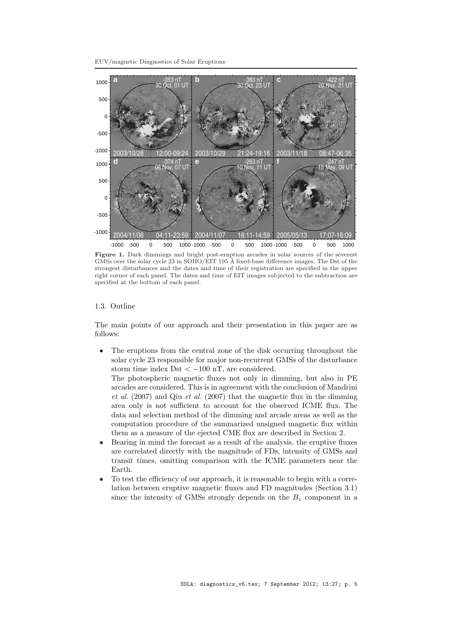EUV/magnetic Diagnostics of Solar Eruptions



Figure 1. Dark dimmings and bright post-eruption arcades in solar sources of the severest GMSs over the solar cycle 23 in SOHO/EIT 195 Å fixed-base difference images. The Dst of the strongest disturbances and the dates and time of their registration are specified in the upper right corner of each panel. The dates and time of EIT images subjected to the subtraction are specified at the bottom of each panel.

# 1.3. Outline

The main points of our approach and their presentation in this paper are as follows:

• The eruptions from the central zone of the disk occurring throughout the solar cycle 23 responsible for major non-recurrent GMSs of the disturbance storm time index Dst  $<-100$  nT, are considered.

The photospheric magnetic fluxes not only in dimming, but also in PE arcades are considered. This is in agreement with the conclusion of Mandrini et al. (2007) and Qiu et al. (2007) that the magnetic flux in the dimming area only is not sufficient to account for the observed ICME flux. The data and selection method of the dimming and arcade areas as well as the computation procedure of the summarized unsigned magnetic flux within them as a measure of the ejected CME flux are described in Section 2.

- Bearing in mind the forecast as a result of the analysis, the eruptive fluxes are correlated directly with the magnitude of FDs, intensity of GMSs and transit times, omitting comparison with the ICME parameters near the Earth.
- To test the efficiency of our approach, it is reasonable to begin with a correlation between eruptive magnetic fluxes and FD magnitudes (Section 3.1) since the intensity of GMSs strongly depends on the  $B<sub>z</sub>$  component in a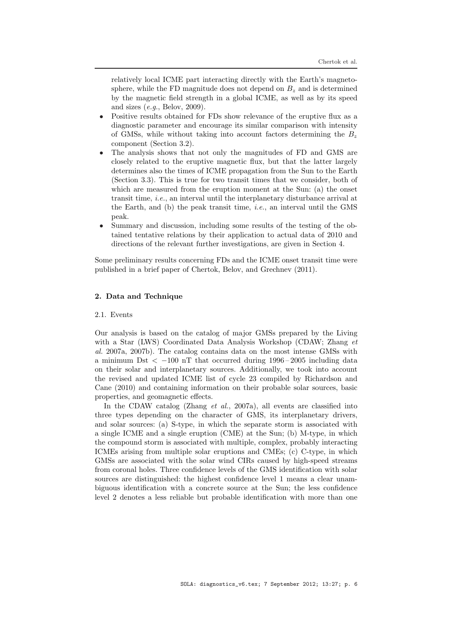relatively local ICME part interacting directly with the Earth's magnetosphere, while the FD magnitude does not depend on  $B<sub>z</sub>$  and is determined by the magnetic field strength in a global ICME, as well as by its speed and sizes  $(e.g., Belov, 2009).$ 

- Positive results obtained for FDs show relevance of the eruptive flux as a diagnostic parameter and encourage its similar comparison with intensity of GMSs, while without taking into account factors determining the  $B_z$ component (Section 3.2).
- The analysis shows that not only the magnitudes of FD and GMS are closely related to the eruptive magnetic flux, but that the latter largely determines also the times of ICME propagation from the Sun to the Earth (Section 3.3). This is true for two transit times that we consider, both of which are measured from the eruption moment at the Sun: (a) the onset transit time, i.e., an interval until the interplanetary disturbance arrival at the Earth, and  $(b)$  the peak transit time, *i.e.*, an interval until the GMS peak.
- Summary and discussion, including some results of the testing of the obtained tentative relations by their application to actual data of 2010 and directions of the relevant further investigations, are given in Section 4.

Some preliminary results concerning FDs and the ICME onset transit time were published in a brief paper of Chertok, Belov, and Grechnev (2011).

# 2. Data and Technique

# 2.1. Events

Our analysis is based on the catalog of major GMSs prepared by the Living with a Star (LWS) Coordinated Data Analysis Workshop (CDAW; Zhang *et* al. 2007a, 2007b). The catalog contains data on the most intense GMSs with a minimum Dst  $\lt$  -100 nT that occurred during 1996-2005 including data on their solar and interplanetary sources. Additionally, we took into account the revised and updated ICME list of cycle 23 compiled by Richardson and Cane (2010) and containing information on their probable solar sources, basic properties, and geomagnetic effects.

In the CDAW catalog (Zhang *et al.*, 2007a), all events are classified into three types depending on the character of GMS, its interplanetary drivers, and solar sources: (a) S-type, in which the separate storm is associated with a single ICME and a single eruption (CME) at the Sun; (b) M-type, in which the compound storm is associated with multiple, complex, probably interacting ICMEs arising from multiple solar eruptions and CMEs; (c) C-type, in which GMSs are associated with the solar wind CIRs caused by high-speed streams from coronal holes. Three confidence levels of the GMS identification with solar sources are distinguished: the highest confidence level 1 means a clear unambiguous identification with a concrete source at the Sun; the less confidence level 2 denotes a less reliable but probable identification with more than one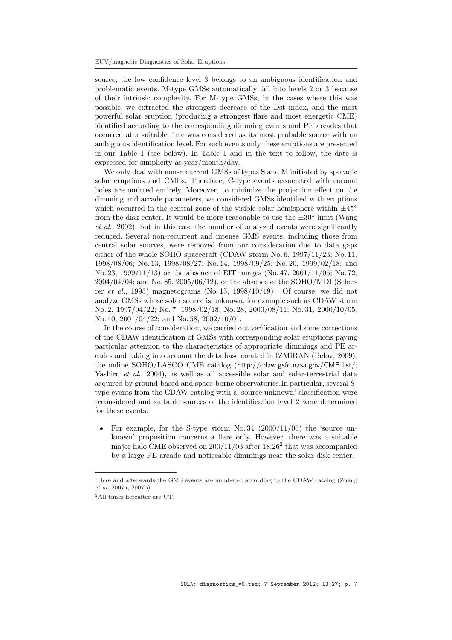source; the low confidence level 3 belongs to an ambiguous identification and problematic events. M-type GMSs automatically fall into levels 2 or 3 because of their intrinsic complexity. For M-type GMSs, in the cases where this was possible, we extracted the strongest decrease of the Dst index, and the most powerful solar eruption (producing a strongest flare and most energetic CME) identified according to the corresponding dimming events and PE arcades that occurred at a suitable time was considered as its most probable source with an ambiguous identification level. For such events only these eruptions are presented in our Table 1 (see below). In Table 1 and in the text to follow, the date is expressed for simplicity as year/month/day.

We only deal with non-recurrent GMSs of types S and M initiated by sporadic solar eruptions and CMEs. Therefore, C-type events associated with coronal holes are omitted entirely. Moreover, to minimize the projection effect on the dimming and arcade parameters, we considered GMSs identified with eruptions which occurred in the central zone of the visible solar hemisphere within  $\pm 45^{\circ}$ from the disk center. It would be more reasonable to use the  $\pm 30^\circ$  limit (Wang et al., 2002), but in this case the number of analyzed events were significantly reduced. Several non-recurrent and intense GMS events, including those from central solar sources, were removed from our consideration due to data gaps either of the whole SOHO spacecraft (CDAW storm No. 6, 1997/11/23; No. 11, 1998/08/06; No. 13, 1998/08/27; No. 14, 1998/09/25; No. 20, 1999/02/18; and No. 23, 1999/11/13) or the absence of EIT images (No. 47, 2001/11/06; No. 72, 2004/04/04; and No. 85, 2005/06/12), or the absence of the SOHO/MDI (Scherrer *et al.*, 1995) magnetograms (No. 15, 1998/10/19)<sup>1</sup>. Of course, we did not analyze GMSs whose solar source is unknown, for example such as CDAW storm No. 2, 1997/04/22; No. 7, 1998/02/18; No. 28, 2000/08/11; No. 31, 2000/10/05; No. 40, 2001/04/22; and No. 58, 2002/10/01.

In the course of consideration, we carried out verification and some corrections of the CDAW identification of GMSs with corresponding solar eruptions paying particular attention to the characteristics of appropriate dimmings and PE arcades and taking into account the data base created in IZMIRAN (Belov, 2009), the online SOHO/LASCO CME catalog (http://cdaw.gsfc.nasa.gov/CME list/; Yashiro et al., 2004), as well as all accessible solar and solar-terrestrial data acquired by ground-based and space-borne observatories.In particular, several Stype events from the CDAW catalog with a 'source unknown' classification were reconsidered and suitable sources of the identification level 2 were determined for these events:

• For example, for the S-type storm  $No. 34$  (2000/11/06) the 'source unknown' proposition concerns a flare only. However, there was a suitable major halo CME observed on  $200/11/03$  after  $18:26<sup>2</sup>$  that was accompanied by a large PE arcade and noticeable dimmings near the solar disk center.

<sup>&</sup>lt;sup>1</sup>Here and afterwards the GMS events are numbered according to the CDAW catalog (Zhang et al. 2007a, 2007b)

<sup>2</sup>All times hereafter are UT.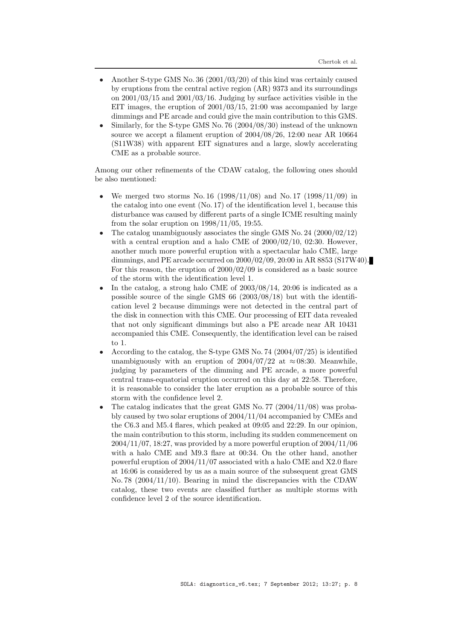- Another S-type GMS No. 36 (2001/03/20) of this kind was certainly caused by eruptions from the central active region (AR) 9373 and its surroundings on 2001/03/15 and 2001/03/16. Judging by surface activities visible in the EIT images, the eruption of 2001/03/15, 21:00 was accompanied by large dimmings and PE arcade and could give the main contribution to this GMS.
- Similarly, for the S-type GMS No. 76 (2004/08/30) instead of the unknown source we accept a filament eruption of 2004/08/26, 12:00 near AR 10664 (S11W38) with apparent EIT signatures and a large, slowly accelerating CME as a probable source.

Among our other refinements of the CDAW catalog, the following ones should be also mentioned:

- We merged two storms No. 16 (1998/11/08) and No. 17 (1998/11/09) in the catalog into one event (No. 17) of the identification level 1, because this disturbance was caused by different parts of a single ICME resulting mainly from the solar eruption on 1998/11/05, 19:55.
- The catalog unambiguously associates the single GMS No. 24  $(2000/02/12)$ with a central eruption and a halo CME of  $2000/02/10$ , 02:30. However, another much more powerful eruption with a spectacular halo CME, large dimmings, and PE arcade occurred on 2000/02/09, 20:00 in AR 8853 (S17W40). For this reason, the eruption of 2000/02/09 is considered as a basic source of the storm with the identification level 1.
- In the catalog, a strong halo CME of  $2003/08/14$ ,  $20:06$  is indicated as a possible source of the single GMS 66 (2003/08/18) but with the identification level 2 because dimmings were not detected in the central part of the disk in connection with this CME. Our processing of EIT data revealed that not only significant dimmings but also a PE arcade near AR 10431 accompanied this CME. Consequently, the identification level can be raised to 1.
- According to the catalog, the S-type GMS No. 74  $(2004/07/25)$  is identified unambiguously with an eruption of  $2004/07/22$  at  $\approx 08:30$ . Meanwhile, judging by parameters of the dimming and PE arcade, a more powerful central trans-equatorial eruption occurred on this day at 22:58. Therefore, it is reasonable to consider the later eruption as a probable source of this storm with the confidence level 2.
- The catalog indicates that the great GMS No. 77 ( $2004/11/08$ ) was probably caused by two solar eruptions of 2004/11/04 accompanied by CMEs and the C6.3 and M5.4 flares, which peaked at 09:05 and 22:29. In our opinion, the main contribution to this storm, including its sudden commencement on 2004/11/07, 18:27, was provided by a more powerful eruption of 2004/11/06 with a halo CME and M9.3 flare at 00:34. On the other hand, another powerful eruption of  $2004/11/07$  associated with a halo CME and X2.0 flare at 16:06 is considered by us as a main source of the subsequent great GMS No. 78 (2004/11/10). Bearing in mind the discrepancies with the CDAW catalog, these two events are classified further as multiple storms with confidence level 2 of the source identification.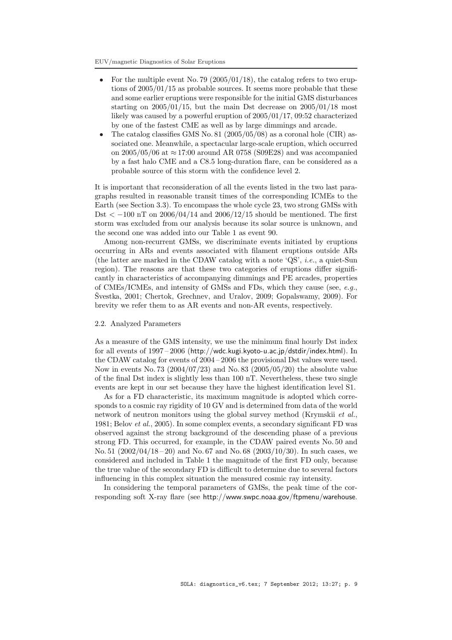- For the multiple event No. 79 (2005/01/18), the catalog refers to two eruptions of 2005/01/15 as probable sources. It seems more probable that these and some earlier eruptions were responsible for the initial GMS disturbances starting on  $2005/01/15$ , but the main Dst decrease on  $2005/01/18$  most likely was caused by a powerful eruption of 2005/01/17, 09:52 characterized by one of the fastest CME as well as by large dimmings and arcade.
- The catalog classifies GMS No. 81 (2005/05/08) as a coronal hole (CIR) associated one. Meanwhile, a spectacular large-scale eruption, which occurred on  $2005/05/06$  at  $\approx 17:00$  around AR 0758 (S09E28) and was accompanied by a fast halo CME and a C8.5 long-duration flare, can be considered as a probable source of this storm with the confidence level 2.

It is important that reconsideration of all the events listed in the two last paragraphs resulted in reasonable transit times of the corresponding ICMEs to the Earth (see Section 3.3). To encompass the whole cycle 23, two strong GMSs with Dst <  $-100$  nT on 2006/04/14 and 2006/12/15 should be mentioned. The first storm was excluded from our analysis because its solar source is unknown, and the second one was added into our Table 1 as event 90.

Among non-recurrent GMSs, we discriminate events initiated by eruptions occurring in ARs and events associated with filament eruptions outside ARs (the latter are marked in the CDAW catalog with a note 'QS', i.e., a quiet-Sun region). The reasons are that these two categories of eruptions differ significantly in characteristics of accompanying dimmings and PE arcades, properties of CMEs/ICMEs, and intensity of GMSs and FDs, which they cause (see,  $e.g.,$ Svestka, 2001; Chertok, Grechnev, and Uralov, 2009; Gopalswamy, 2009). For brevity we refer them to as AR events and non-AR events, respectively.

#### 2.2. Analyzed Parameters

As a measure of the GMS intensity, we use the minimum final hourly Dst index for all events of 1997 – 2006 (http://wdc.kugi.kyoto-u.ac.jp/dstdir/index.html). In the CDAW catalog for events of 2004 – 2006 the provisional Dst values were used. Now in events No. 73 (2004/07/23) and No. 83 (2005/05/20) the absolute value of the final Dst index is slightly less than 100 nT. Nevertheless, these two single events are kept in our set because they have the highest identification level S1.

As for a FD characteristic, its maximum magnitude is adopted which corresponds to a cosmic ray rigidity of 10 GV and is determined from data of the world network of neutron monitors using the global survey method (Krymskii et al., 1981; Belov et al., 2005). In some complex events, a secondary significant FD was observed against the strong background of the descending phase of a previous strong FD. This occurred, for example, in the CDAW paired events No. 50 and No. 51  $(2002/04/18 - 20)$  and No. 67 and No. 68  $(2003/10/30)$ . In such cases, we considered and included in Table 1 the magnitude of the first FD only, because the true value of the secondary FD is difficult to determine due to several factors influencing in this complex situation the measured cosmic ray intensity.

In considering the temporal parameters of GMSs, the peak time of the corresponding soft X-ray flare (see http://www.swpc.noaa.gov/ftpmenu/warehouse.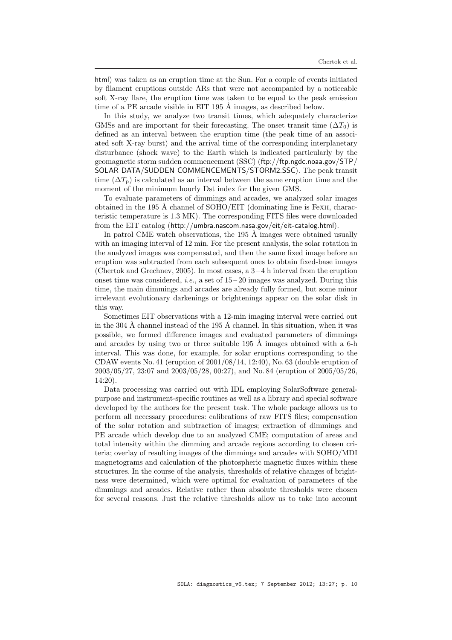html) was taken as an eruption time at the Sun. For a couple of events initiated by filament eruptions outside ARs that were not accompanied by a noticeable soft X-ray flare, the eruption time was taken to be equal to the peak emission time of a PE arcade visible in EIT 195  $\AA$  images, as described below.

In this study, we analyze two transit times, which adequately characterize GMSs and are important for their forecasting. The onset transit time  $(\Delta T_0)$  is defined as an interval between the eruption time (the peak time of an associated soft X-ray burst) and the arrival time of the corresponding interplanetary disturbance (shock wave) to the Earth which is indicated particularly by the geomagnetic storm sudden commencement (SSC) (ftp://ftp.ngdc.noaa.gov/STP/ SOLAR\_DATA/SUDDEN\_COMMENCEMENTS/STORM2.SSC). The peak transit time  $(\Delta T_p)$  is calculated as an interval between the same eruption time and the moment of the minimum hourly Dst index for the given GMS.

To evaluate parameters of dimmings and arcades, we analyzed solar images obtained in the 195 Å channel of SOHO/EIT (dominating line is Fexii, characteristic temperature is 1.3 MK). The corresponding FITS files were downloaded from the EIT catalog (http://umbra.nascom.nasa.gov/eit/eit-catalog.html).

In patrol CME watch observations, the  $195 \text{ Å}$  images were obtained usually with an imaging interval of 12 min. For the present analysis, the solar rotation in the analyzed images was compensated, and then the same fixed image before an eruption was subtracted from each subsequent ones to obtain fixed-base images (Chertok and Grechnev, 2005). In most cases, a  $3-4$  h interval from the eruption onset time was considered, *i.e.*, a set of  $15-20$  images was analyzed. During this time, the main dimmings and arcades are already fully formed, but some minor irrelevant evolutionary darkenings or brightenings appear on the solar disk in this way.

Sometimes EIT observations with a 12-min imaging interval were carried out in the  $304 \text{ Å}$  channel instead of the  $195 \text{ Å}$  channel. In this situation, when it was possible, we formed difference images and evaluated parameters of dimmings and arcades by using two or three suitable  $195 \text{ Å}$  images obtained with a 6-h interval. This was done, for example, for solar eruptions corresponding to the CDAW events No. 41 (eruption of  $2001/08/14$ , 12:40), No. 63 (double eruption of 2003/05/27, 23:07 and 2003/05/28, 00:27), and No. 84 (eruption of 2005/05/26, 14:20).

Data processing was carried out with IDL employing SolarSoftware generalpurpose and instrument-specific routines as well as a library and special software developed by the authors for the present task. The whole package allows us to perform all necessary procedures: calibrations of raw FITS files; compensation of the solar rotation and subtraction of images; extraction of dimmings and PE arcade which develop due to an analyzed CME; computation of areas and total intensity within the dimming and arcade regions according to chosen criteria; overlay of resulting images of the dimmings and arcades with SOHO/MDI magnetograms and calculation of the photospheric magnetic fluxes within these structures. In the course of the analysis, thresholds of relative changes of brightness were determined, which were optimal for evaluation of parameters of the dimmings and arcades. Relative rather than absolute thresholds were chosen for several reasons. Just the relative thresholds allow us to take into account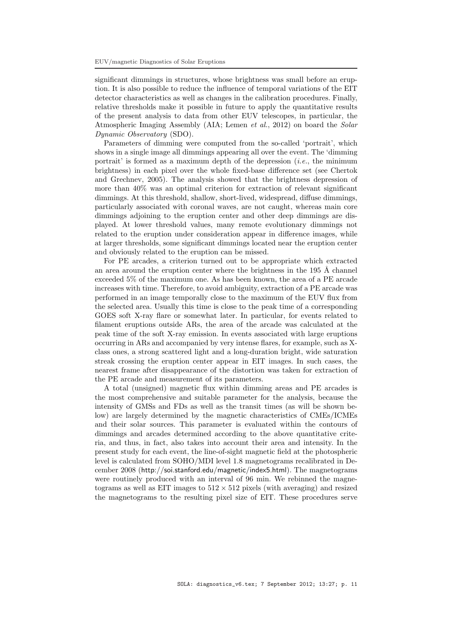significant dimmings in structures, whose brightness was small before an eruption. It is also possible to reduce the influence of temporal variations of the EIT detector characteristics as well as changes in the calibration procedures. Finally, relative thresholds make it possible in future to apply the quantitative results of the present analysis to data from other EUV telescopes, in particular, the Atmospheric Imaging Assembly (AIA; Lemen *et al.*, 2012) on board the *Solar* Dynamic Observatory (SDO).

Parameters of dimming were computed from the so-called 'portrait', which shows in a single image all dimmings appearing all over the event. The 'dimming portrait' is formed as a maximum depth of the depression  $(i.e.,$  the minimum brightness) in each pixel over the whole fixed-base difference set (see Chertok and Grechnev, 2005). The analysis showed that the brightness depression of more than 40% was an optimal criterion for extraction of relevant significant dimmings. At this threshold, shallow, short-lived, widespread, diffuse dimmings, particularly associated with coronal waves, are not caught, whereas main core dimmings adjoining to the eruption center and other deep dimmings are displayed. At lower threshold values, many remote evolutionary dimmings not related to the eruption under consideration appear in difference images, while at larger thresholds, some significant dimmings located near the eruption center and obviously related to the eruption can be missed.

For PE arcades, a criterion turned out to be appropriate which extracted an area around the eruption center where the brightness in the  $195 \text{ Å}$  channel exceeded 5% of the maximum one. As has been known, the area of a PE arcade increases with time. Therefore, to avoid ambiguity, extraction of a PE arcade was performed in an image temporally close to the maximum of the EUV flux from the selected area. Usually this time is close to the peak time of a corresponding GOES soft X-ray flare or somewhat later. In particular, for events related to filament eruptions outside ARs, the area of the arcade was calculated at the peak time of the soft X-ray emission. In events associated with large eruptions occurring in ARs and accompanied by very intense flares, for example, such as Xclass ones, a strong scattered light and a long-duration bright, wide saturation streak crossing the eruption center appear in EIT images. In such cases, the nearest frame after disappearance of the distortion was taken for extraction of the PE arcade and measurement of its parameters.

A total (unsigned) magnetic flux within dimming areas and PE arcades is the most comprehensive and suitable parameter for the analysis, because the intensity of GMSs and FDs as well as the transit times (as will be shown below) are largely determined by the magnetic characteristics of CMEs/ICMEs and their solar sources. This parameter is evaluated within the contours of dimmings and arcades determined according to the above quantitative criteria, and thus, in fact, also takes into account their area and intensity. In the present study for each event, the line-of-sight magnetic field at the photospheric level is calculated from SOHO/MDI level 1.8 magnetograms recalibrated in December 2008 (http://soi.stanford.edu/magnetic/index5.html). The magnetograms were routinely produced with an interval of 96 min. We rebinned the magnetograms as well as EIT images to  $512 \times 512$  pixels (with averaging) and resized the magnetograms to the resulting pixel size of EIT. These procedures serve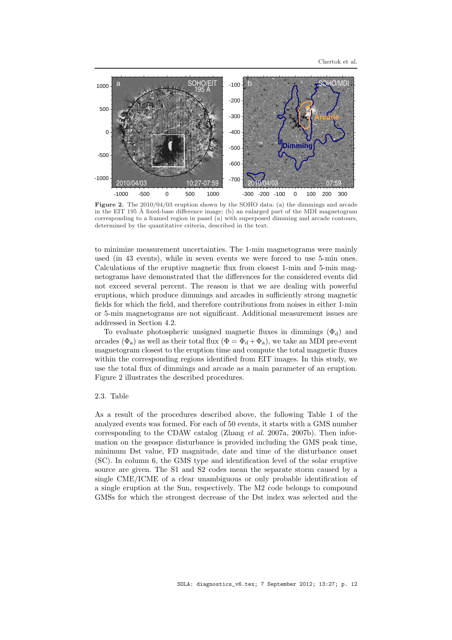

Figure 2. The 2010/04/03 eruption shown by the SOHO data: (a) the dimmings and arcade in the EIT 195 Å fixed-base difference image; (b) an enlarged part of the MDI magnetogram corresponding to a framed region in panel (a) with superposed dimming and arcade contours, determined by the quantitative criteria, described in the text.

to minimize measurement uncertainties. The 1-min magnetograms were mainly used (in 43 events), while in seven events we were forced to use 5-min ones. Calculations of the eruptive magnetic flux from closest 1-min and 5-min magnetograms have demonstrated that the differences for the considered events did not exceed several percent. The reason is that we are dealing with powerful eruptions, which produce dimmings and arcades in sufficiently strong magnetic fields for which the field, and therefore contributions from noises in either 1-min or 5-min magnetograms are not significant. Additional measurement issues are addressed in Section 4.2.

To evaluate photospheric unsigned magnetic fluxes in dimmings  $(\Phi_d)$  and arcades ( $\Phi_a$ ) as well as their total flux ( $\Phi = \Phi_d + \Phi_a$ ), we take an MDI pre-event magnetogram closest to the eruption time and compute the total magnetic fluxes within the corresponding regions identified from EIT images. In this study, we use the total flux of dimmings and arcade as a main parameter of an eruption. Figure 2 illustrates the described procedures.

### 2.3. Table

As a result of the procedures described above, the following Table 1 of the analyzed events was formed. For each of 50 events, it starts with a GMS number corresponding to the CDAW catalog (Zhang et al. 2007a, 2007b). Then information on the geospace disturbance is provided including the GMS peak time, minimum Dst value, FD magnitude, date and time of the disturbance onset (SC). In column 6, the GMS type and identification level of the solar eruptive source are given. The S1 and S2 codes mean the separate storm caused by a single CME/ICME of a clear unambiguous or only probable identification of a single eruption at the Sun, respectively. The M2 code belongs to compound GMSs for which the strongest decrease of the Dst index was selected and the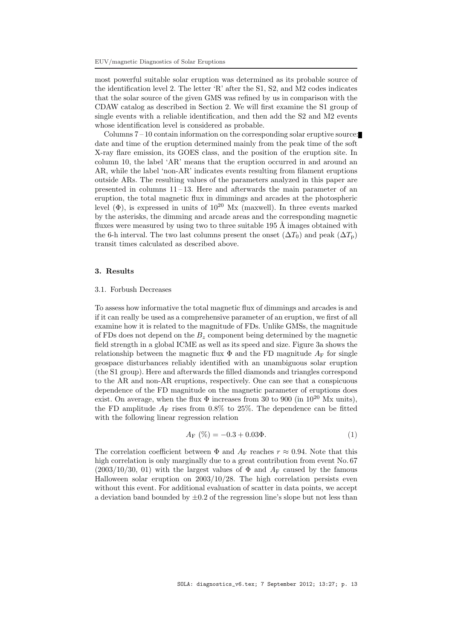most powerful suitable solar eruption was determined as its probable source of the identification level 2. The letter 'R' after the S1, S2, and M2 codes indicates that the solar source of the given GMS was refined by us in comparison with the CDAW catalog as described in Section 2. We will first examine the S1 group of single events with a reliable identification, and then add the S2 and M2 events whose identification level is considered as probable.

Columns 7 – 10 contain information on the corresponding solar eruptive source: date and time of the eruption determined mainly from the peak time of the soft X-ray flare emission, its GOES class, and the position of the eruption site. In column 10, the label 'AR' means that the eruption occurred in and around an AR, while the label 'non-AR' indicates events resulting from filament eruptions outside ARs. The resulting values of the parameters analyzed in this paper are presented in columns  $11-13$ . Here and afterwards the main parameter of an eruption, the total magnetic flux in dimmings and arcades at the photospheric level  $(\Phi)$ , is expressed in units of  $10^{20}$  Mx (maxwell). In three events marked by the asterisks, the dimming and arcade areas and the corresponding magnetic fluxes were measured by using two to three suitable  $195 \text{ Å}$  images obtained with the 6-h interval. The two last columns present the onset  $(\Delta T_0)$  and peak  $(\Delta T_0)$ transit times calculated as described above.

# 3. Results

### 3.1. Forbush Decreases

To assess how informative the total magnetic flux of dimmings and arcades is and if it can really be used as a comprehensive parameter of an eruption, we first of all examine how it is related to the magnitude of FDs. Unlike GMSs, the magnitude of FDs does not depend on the  $B_z$  component being determined by the magnetic field strength in a global ICME as well as its speed and size. Figure 3a shows the relationship between the magnetic flux  $\Phi$  and the FD magnitude  $A_F$  for single geospace disturbances reliably identified with an unambiguous solar eruption (the S1 group). Here and afterwards the filled diamonds and triangles correspond to the AR and non-AR eruptions, respectively. One can see that a conspicuous dependence of the FD magnitude on the magnetic parameter of eruptions does exist. On average, when the flux  $\Phi$  increases from 30 to 900 (in  $10^{20}$  Mx units), the FD amplitude  $A_F$  rises from 0.8% to 25%. The dependence can be fitted with the following linear regression relation

$$
A_{\mathcal{F}}(\%) = -0.3 + 0.03\Phi.
$$
 (1)

The correlation coefficient between  $\Phi$  and  $A_F$  reaches  $r \approx 0.94$ . Note that this high correlation is only marginally due to a great contribution from event No. 67  $(2003/10/30, 01)$  with the largest values of  $\Phi$  and  $A_F$  caused by the famous Halloween solar eruption on 2003/10/28. The high correlation persists even without this event. For additional evaluation of scatter in data points, we accept a deviation band bounded by  $\pm 0.2$  of the regression line's slope but not less than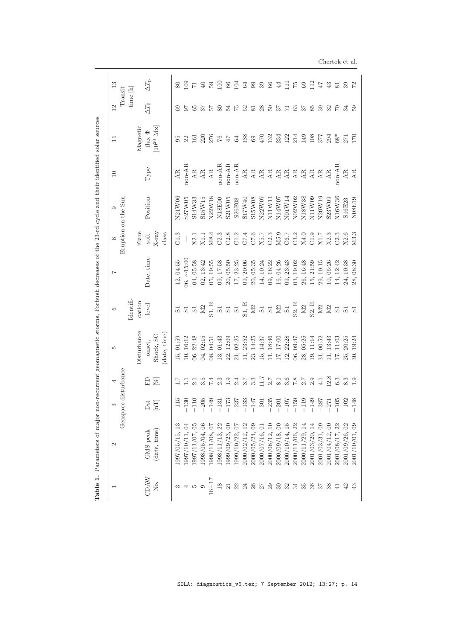| LO<br>S                                                                                                                                               |                                                                                         | G                                                                                                                                                                                                                                  | $\overline{1}$                                                                       | $\infty$                             | $\circ$             | $\Box$                              |                   | $\overline{12}$          | 13                  |
|-------------------------------------------------------------------------------------------------------------------------------------------------------|-----------------------------------------------------------------------------------------|------------------------------------------------------------------------------------------------------------------------------------------------------------------------------------------------------------------------------------|--------------------------------------------------------------------------------------|--------------------------------------|---------------------|-------------------------------------|-------------------|--------------------------|---------------------|
| oace disturbance                                                                                                                                      |                                                                                         |                                                                                                                                                                                                                                    |                                                                                      |                                      | Eruption on the Sun |                                     |                   | Transit                  |                     |
|                                                                                                                                                       | Disturbance                                                                             | dentifi<br>cation                                                                                                                                                                                                                  |                                                                                      | Flare                                |                     |                                     | Magnetic          | time [h]                 |                     |
| 요<br>Dst                                                                                                                                              | onset,                                                                                  | level                                                                                                                                                                                                                              | Date, time                                                                           | $\operatorname{soft}$                | Position            | Type                                | flux $\Phi$       | $\Delta T_0$             | $\Delta T_{\rm p}$  |
| $[\mathbb{X}]$<br>$[\mathbf{H}]$                                                                                                                      | date, time)<br>Shock, SC                                                                |                                                                                                                                                                                                                                    |                                                                                      | $X-ray$<br>class                     |                     |                                     | $10^{20}$ Mx      |                          |                     |
| $-115$                                                                                                                                                | 01:59<br>15,                                                                            |                                                                                                                                                                                                                                    | 12, 04:55                                                                            | C1.3                                 | N21W06              | $\mathbf{A}\mathbf{R}$              |                   |                          | 80                  |
| $-130$                                                                                                                                                | 10, 16:12                                                                               |                                                                                                                                                                                                                                    | $0.6, -15.00$                                                                        |                                      | S27W05              | non-AR                              | 22                | 57                       | $\overline{0}$      |
| $\frac{1}{2}$ $\frac{1}{2}$ $\frac{1}{2}$ $\frac{1}{2}$ $\frac{1}{2}$ $\frac{1}{2}$ $\frac{1}{2}$ $\frac{1}{2}$ $\frac{1}{2}$ $\frac{1}{2}$<br>$-110$ | 06, 22:48                                                                               |                                                                                                                                                                                                                                    | 04, 05:58                                                                            | $\mathbf{X}2.1$                      | S14W33              | $\mathbf{A}\mathbf{R}$              | 161               | 85                       | $\overline{\Gamma}$ |
| $-205$                                                                                                                                                | 04, 02:15                                                                               |                                                                                                                                                                                                                                    | 02, 13:42                                                                            | X1.1                                 | S15W15              | $\mathop{\rm AR}\limits_{\rm A\,R}$ | 220               | $\frac{27}{2}$           | $40\,$              |
| $-149$                                                                                                                                                | 08, 04:51                                                                               | <u>ទី និង ក្នុង ក្នុង ក្នុង ក្នុង ក្នុង ក្នុង ក្នុង ក្នុង ក្នុង ក្នុង ក្នុង ក្នុង ក្នុង ក្នុង ក្នុង ក្នុង ក្នុង ក</u><br>តាំង ក្នុង ក្នុង ក្នុង ក្នុង ក្នុង ក្នុង ក្នុង ក្នុង ក្នុង ក្នុង ក្នុង ក្នុង ក្នុង ក្នុង ក្នុង ក្នុង ក្នុ | 05, 19:55                                                                            | M8.4                                 | N22W18              |                                     | 276               | $\frac{1}{2}$            | $50\,$              |
| $2.3\,$<br>$-131$                                                                                                                                     | 13, 01:43                                                                               |                                                                                                                                                                                                                                    | 09, 17:58                                                                            | C2.3                                 | N18E00              | non-AR                              | $\sqrt{6}$        | 80                       | $\overline{100}$    |
| $\begin{array}{c} 2.3 \\ 2.4 \\ 3.5 \end{array}$<br>$-173$                                                                                            | $\begin{array}{c} 22, \, 12:09 \\ 21, \, 02:25 \\ 11, \, 23:52 \end{array}$             |                                                                                                                                                                                                                                    | $\begin{array}{c} 20\;\! ,\,05:50 \\ 17\;\! ,\,23:25 \\ 09\;\! ,\,20:06 \end{array}$ | C2.8<br>C1.2<br>C7.4<br>C2.3<br>C2.3 | S21W05              | non-AR                              | $\pm$             | 24                       | $66\,$              |
| $-237$                                                                                                                                                |                                                                                         |                                                                                                                                                                                                                                    |                                                                                      |                                      | S26E08              | $non-AR$                            | 64                | $\frac{5}{2}$            | 104                 |
| $-133$                                                                                                                                                |                                                                                         |                                                                                                                                                                                                                                    |                                                                                      |                                      | S17W40              | $_{\rm AR}$                         | 138               | 52                       | $64\,$              |
| $3.\overline{3}$<br>$-147$                                                                                                                            |                                                                                         |                                                                                                                                                                                                                                    | 20,05:35                                                                             |                                      | S15W08              |                                     | $69\,$            | 81                       | 336                 |
| 7.11<br>$-301$                                                                                                                                        | $\begin{array}{c} 23, \ 14:25 \\ 15, \ 14:37 \\ 11, \ 18:46 \\ 17, \ 17:00 \end{array}$ |                                                                                                                                                                                                                                    | 10:24<br>14,                                                                         |                                      | N22W07              |                                     | 470               | $\frac{8}{50}$           |                     |
| $2.7\,$<br>$-235$                                                                                                                                     |                                                                                         |                                                                                                                                                                                                                                    | 16:22<br>09,                                                                         |                                      | N11W11              |                                     | 132               |                          |                     |
| $\begin{array}{c} 1.1 \\ 2.5 \\ 3.6 \\ 7.8 \\ 2.7 \\ \end{array}$<br>$-201$                                                                           |                                                                                         |                                                                                                                                                                                                                                    | 16, 04:26                                                                            | M5.9                                 | N14W07              | <b>AAAAAAAAAA</b>                   | $\frac{234}{122}$ | 57                       | 44                  |
| $-107$                                                                                                                                                | 12, 22:28                                                                               |                                                                                                                                                                                                                                    | 09, 23:43                                                                            | $\frac{\text{C}6.7}{\text{C}3.2}$    | N01W14              |                                     |                   | $\overline{\phantom{0}}$ | Ξ                   |
| $-159$                                                                                                                                                | 06, 09:47                                                                               |                                                                                                                                                                                                                                    | 03, 19:02                                                                            |                                      | N02W02              |                                     | 214               | 63                       | 75                  |
| $-119$                                                                                                                                                | 28,05:25                                                                                |                                                                                                                                                                                                                                    | 26, 16:48                                                                            | $\rm X4.0$                           | N18W38              |                                     | 149               | $\frac{27}{2}$           | 69                  |
| 2.9<br>$-149$                                                                                                                                         | 19, 11:14                                                                               |                                                                                                                                                                                                                                    | 15, 21:59                                                                            | C1.9                                 | N11W09              |                                     | $\frac{108}{377}$ | 85                       | $\Xi$               |
| 4.1<br>$-387$                                                                                                                                         |                                                                                         |                                                                                                                                                                                                                                    | 29, 10:15                                                                            | X1.7                                 | N20W19              |                                     |                   | 39                       | ZЪ                  |
| 12.8<br>$-271$                                                                                                                                        | $\begin{array}{c} 31 \text{, } 00:52 \\ 11 \text{, } 13:43 \end{array}$                 |                                                                                                                                                                                                                                    | 10, 05:26                                                                            | X2.3                                 | S23W09              |                                     | 294               | 25 L                     | 43                  |
| $6.3\,$<br>$-105$                                                                                                                                     | $\begin{array}{c} 17, \ 11:03 \\ 25, \ 20:25 \end{array}$                               |                                                                                                                                                                                                                                    | 14, 12:42                                                                            | C2.3                                 | N16W36              | $non-AR$                            | $68*$             |                          | $\overline{81}$     |
| 8.3<br>$-102$                                                                                                                                         |                                                                                         |                                                                                                                                                                                                                                    | 24, 10:38                                                                            | X2.6                                 | S16E23              | $\mathbf{A}\mathbf{R}$              | 271               | 34                       | 39                  |
| 1.9<br>$-148$                                                                                                                                         | 30, 19:24                                                                               | $\overline{S}1$                                                                                                                                                                                                                    | 28, 08:30                                                                            | M3.3                                 | N08E19              | $\mathbf{A}\mathbf{R}$              | 170               | 59                       | $\mathbb{Z}$        |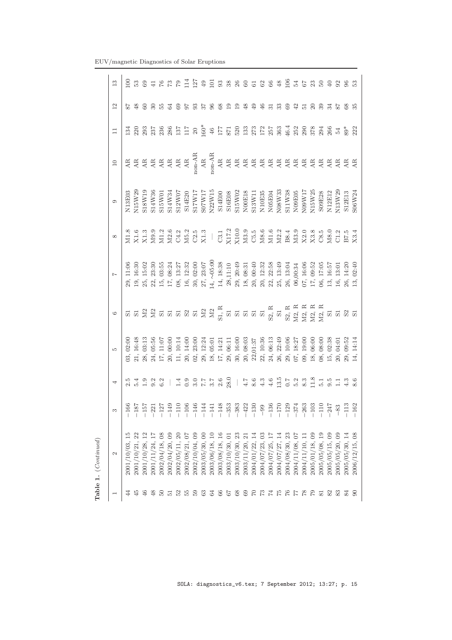|                              | Table 1. (Continued)           |                                                                                                                                                                                                                                                                                                                                                                                                           |                                                                                                                                                                                                                                                                                                                                                                                                                                                                                                                                                  |                                                                                                                                                                                                                                                                  |         |           |                                                                                                                                                                                                                                                                                             |                                                                                  |        |        |                                                                                                          |                  |
|------------------------------|--------------------------------|-----------------------------------------------------------------------------------------------------------------------------------------------------------------------------------------------------------------------------------------------------------------------------------------------------------------------------------------------------------------------------------------------------------|--------------------------------------------------------------------------------------------------------------------------------------------------------------------------------------------------------------------------------------------------------------------------------------------------------------------------------------------------------------------------------------------------------------------------------------------------------------------------------------------------------------------------------------------------|------------------------------------------------------------------------------------------------------------------------------------------------------------------------------------------------------------------------------------------------------------------|---------|-----------|---------------------------------------------------------------------------------------------------------------------------------------------------------------------------------------------------------------------------------------------------------------------------------------------|----------------------------------------------------------------------------------|--------|--------|----------------------------------------------------------------------------------------------------------|------------------|
| $\overline{\phantom{a}}$     | $\mathcal{C}$                  | S                                                                                                                                                                                                                                                                                                                                                                                                         |                                                                                                                                                                                                                                                                                                                                                                                                                                                                                                                                                  | LO.                                                                                                                                                                                                                                                              | $\circ$ |           |                                                                                                                                                                                                                                                                                             |                                                                                  | $\Box$ | $\Box$ | $\overline{12}$                                                                                          | $\frac{3}{2}$    |
| 44                           | 2001/10/03.                    |                                                                                                                                                                                                                                                                                                                                                                                                           |                                                                                                                                                                                                                                                                                                                                                                                                                                                                                                                                                  | 02:00                                                                                                                                                                                                                                                            |         | 29, 11:06 |                                                                                                                                                                                                                                                                                             | N13E03                                                                           |        |        |                                                                                                          |                  |
| $\ddot{45}$                  | 2001/10/21,                    |                                                                                                                                                                                                                                                                                                                                                                                                           |                                                                                                                                                                                                                                                                                                                                                                                                                                                                                                                                                  |                                                                                                                                                                                                                                                                  |         |           |                                                                                                                                                                                                                                                                                             | N15W29                                                                           |        |        | $\frac{8}{2}$                                                                                            |                  |
| 46                           | 2001/10/28,                    | $\begin{array}{l} 66\\[-1.2mm] -1.2\end{array} \begin{array}{l} 12\\[-1.2mm] -1.2\end{array} \begin{array}{l} 12\\[-1.2mm] -1.2\end{array} \begin{array}{l} 12\\[-1.2mm] -1.2\end{array} \begin{array}{l} 12\\[-1.2mm] -1.2\end{array} \begin{array}{l} 12\\[-1.2mm] -1.2\end{array} \begin{array}{l} 12\\[-1.2mm] -1.2\end{array} \begin{array}{l} 12\\[-1.2mm] -1.2\end{array} \begin{array}{l} 12\\[-$ |                                                                                                                                                                                                                                                                                                                                                                                                                                                                                                                                                  |                                                                                                                                                                                                                                                                  |         |           | M1.8<br>X1.6<br>X1.3                                                                                                                                                                                                                                                                        | S18W19                                                                           |        |        |                                                                                                          |                  |
| $\frac{8}{5}$                | 2001/11/24,                    |                                                                                                                                                                                                                                                                                                                                                                                                           |                                                                                                                                                                                                                                                                                                                                                                                                                                                                                                                                                  |                                                                                                                                                                                                                                                                  |         |           |                                                                                                                                                                                                                                                                                             | S14W36                                                                           |        |        |                                                                                                          |                  |
| $50^{\circ}$                 | 2002/04/18,                    |                                                                                                                                                                                                                                                                                                                                                                                                           |                                                                                                                                                                                                                                                                                                                                                                                                                                                                                                                                                  |                                                                                                                                                                                                                                                                  |         |           | $\begin{array}{l} 99.316 \\ 27.427 \\ 28.531 \\ 29.443 \\ 20.531 \\ 20.531 \\ 20.531 \\ 20.531 \\ 20.531 \\ 20.531 \\ 20.531 \\ 20.531 \\ 20.531 \\ 20.531 \\ 20.531 \\ 20.531 \\ 20.531 \\ 20.531 \\ 20.531 \\ 20.531 \\ 20.531 \\ 20.531 \\ 20.531 \\ 20.531 \\ 20.531 \\ 20.531 \\ 20.5$ | S15W01                                                                           |        |        | 3.53                                                                                                     |                  |
|                              | 2002/04/20, 09                 |                                                                                                                                                                                                                                                                                                                                                                                                           |                                                                                                                                                                                                                                                                                                                                                                                                                                                                                                                                                  |                                                                                                                                                                                                                                                                  |         |           |                                                                                                                                                                                                                                                                                             | S14W34                                                                           |        |        |                                                                                                          |                  |
|                              | $\approx$<br>2002/05/11,       |                                                                                                                                                                                                                                                                                                                                                                                                           |                                                                                                                                                                                                                                                                                                                                                                                                                                                                                                                                                  |                                                                                                                                                                                                                                                                  |         |           |                                                                                                                                                                                                                                                                                             | S12W07                                                                           |        |        |                                                                                                          |                  |
|                              | 2002/08/21,07                  |                                                                                                                                                                                                                                                                                                                                                                                                           |                                                                                                                                                                                                                                                                                                                                                                                                                                                                                                                                                  |                                                                                                                                                                                                                                                                  |         |           |                                                                                                                                                                                                                                                                                             | S14E20                                                                           |        |        |                                                                                                          |                  |
| $22.30888858385838383838585$ | 2002/10/04,09                  |                                                                                                                                                                                                                                                                                                                                                                                                           | $\begin{array}{c} { \left  {\begin{array}{c} 1 \end{array}\right.} \end{array}} \end{array} \begin{array}{c} { \left  {\begin{array}{c} 2 \end{array}\right.} \end{array}} \end{array} \begin{array}{c} { \left  {\begin{array}{c} 2 \end{array}\right.} \end{array}} \end{array} \begin{array}{c} { \left  {\begin{array}{c} 2 \end{array}\right.} \end{array}} \end{array} \begin{array}{c} { \left  {\begin{array}{c} 2 \end{array}\right.} \end{array}} \begin{array}{c} { \left  {\begin{array}{c} 2 \end{array}\right.} \end{array}} \end$ |                                                                                                                                                                                                                                                                  |         |           |                                                                                                                                                                                                                                                                                             | S17W17                                                                           |        |        | 35353022                                                                                                 |                  |
|                              | 2003/05/30,00                  |                                                                                                                                                                                                                                                                                                                                                                                                           |                                                                                                                                                                                                                                                                                                                                                                                                                                                                                                                                                  |                                                                                                                                                                                                                                                                  |         |           |                                                                                                                                                                                                                                                                                             |                                                                                  |        |        |                                                                                                          |                  |
|                              | 2003/06/18,                    |                                                                                                                                                                                                                                                                                                                                                                                                           |                                                                                                                                                                                                                                                                                                                                                                                                                                                                                                                                                  |                                                                                                                                                                                                                                                                  |         |           |                                                                                                                                                                                                                                                                                             | $\begin{array}{c} \text{S07W17} \\ \text{N22W15} \end{array}$                    |        |        |                                                                                                          |                  |
|                              | 2003/08/18, 16                 |                                                                                                                                                                                                                                                                                                                                                                                                           |                                                                                                                                                                                                                                                                                                                                                                                                                                                                                                                                                  |                                                                                                                                                                                                                                                                  |         |           |                                                                                                                                                                                                                                                                                             | S14E00                                                                           |        |        |                                                                                                          | 33866588         |
|                              | 2003/10/30,01                  |                                                                                                                                                                                                                                                                                                                                                                                                           |                                                                                                                                                                                                                                                                                                                                                                                                                                                                                                                                                  |                                                                                                                                                                                                                                                                  |         |           |                                                                                                                                                                                                                                                                                             | S16E08<br>S15W02                                                                 |        |        |                                                                                                          |                  |
|                              | 2003/10/30, 23                 |                                                                                                                                                                                                                                                                                                                                                                                                           |                                                                                                                                                                                                                                                                                                                                                                                                                                                                                                                                                  |                                                                                                                                                                                                                                                                  |         |           |                                                                                                                                                                                                                                                                                             |                                                                                  |        |        | $\frac{1}{2}$                                                                                            |                  |
|                              | $\overline{z}$<br>2003/11/20,  |                                                                                                                                                                                                                                                                                                                                                                                                           |                                                                                                                                                                                                                                                                                                                                                                                                                                                                                                                                                  |                                                                                                                                                                                                                                                                  |         |           |                                                                                                                                                                                                                                                                                             |                                                                                  |        |        | $\frac{8}{3}$                                                                                            |                  |
|                              | 2004/01/22,                    |                                                                                                                                                                                                                                                                                                                                                                                                           |                                                                                                                                                                                                                                                                                                                                                                                                                                                                                                                                                  |                                                                                                                                                                                                                                                                  |         |           |                                                                                                                                                                                                                                                                                             |                                                                                  |        |        | 윾                                                                                                        |                  |
|                              | 2004/07/23,03                  |                                                                                                                                                                                                                                                                                                                                                                                                           |                                                                                                                                                                                                                                                                                                                                                                                                                                                                                                                                                  |                                                                                                                                                                                                                                                                  |         |           |                                                                                                                                                                                                                                                                                             | ${\begin{array}{c} \text{NO0E18} \\ \text{S13W11} \\ \text{N10E35} \end{array}}$ |        |        | $\frac{6}{5}$                                                                                            |                  |
|                              | 2004/07/25,                    |                                                                                                                                                                                                                                                                                                                                                                                                           |                                                                                                                                                                                                                                                                                                                                                                                                                                                                                                                                                  |                                                                                                                                                                                                                                                                  |         |           |                                                                                                                                                                                                                                                                                             | ${\frac{\rm{NO5E04}}{\rm{N08W33}}}$                                              |        |        |                                                                                                          |                  |
|                              | 2004/07/27, 14                 |                                                                                                                                                                                                                                                                                                                                                                                                           |                                                                                                                                                                                                                                                                                                                                                                                                                                                                                                                                                  |                                                                                                                                                                                                                                                                  |         |           |                                                                                                                                                                                                                                                                                             |                                                                                  |        |        | 33                                                                                                       |                  |
|                              | 23<br>2004/08/30,              |                                                                                                                                                                                                                                                                                                                                                                                                           |                                                                                                                                                                                                                                                                                                                                                                                                                                                                                                                                                  |                                                                                                                                                                                                                                                                  |         |           |                                                                                                                                                                                                                                                                                             | S11W38                                                                           |        |        | S 42                                                                                                     | $\frac{106}{54}$ |
|                              | $\sqrt{0}$<br>2004/11/08,      |                                                                                                                                                                                                                                                                                                                                                                                                           |                                                                                                                                                                                                                                                                                                                                                                                                                                                                                                                                                  |                                                                                                                                                                                                                                                                  |         |           |                                                                                                                                                                                                                                                                                             | N09E05<br>N09W17                                                                 |        |        |                                                                                                          |                  |
|                              | 2004/11/10,                    |                                                                                                                                                                                                                                                                                                                                                                                                           |                                                                                                                                                                                                                                                                                                                                                                                                                                                                                                                                                  |                                                                                                                                                                                                                                                                  |         |           |                                                                                                                                                                                                                                                                                             |                                                                                  |        |        | $\overline{5}$ $\overline{8}$ $\overline{3}$ $\overline{5}$ $\overline{8}$ $\overline{8}$ $\overline{8}$ |                  |
|                              | 2005/01/18,09                  |                                                                                                                                                                                                                                                                                                                                                                                                           |                                                                                                                                                                                                                                                                                                                                                                                                                                                                                                                                                  |                                                                                                                                                                                                                                                                  |         |           |                                                                                                                                                                                                                                                                                             | N15W25                                                                           |        |        |                                                                                                          | 230              |
|                              | $\overline{19}$<br>2005/05/08, |                                                                                                                                                                                                                                                                                                                                                                                                           |                                                                                                                                                                                                                                                                                                                                                                                                                                                                                                                                                  |                                                                                                                                                                                                                                                                  |         |           |                                                                                                                                                                                                                                                                                             | S09E28                                                                           |        |        |                                                                                                          |                  |
|                              | 2005/05/15,09                  |                                                                                                                                                                                                                                                                                                                                                                                                           |                                                                                                                                                                                                                                                                                                                                                                                                                                                                                                                                                  |                                                                                                                                                                                                                                                                  |         |           |                                                                                                                                                                                                                                                                                             | N12E12                                                                           |        |        |                                                                                                          | $\Theta$         |
|                              | 2005/05/20,09                  |                                                                                                                                                                                                                                                                                                                                                                                                           |                                                                                                                                                                                                                                                                                                                                                                                                                                                                                                                                                  |                                                                                                                                                                                                                                                                  |         |           |                                                                                                                                                                                                                                                                                             | N13W29                                                                           |        |        |                                                                                                          | 38               |
| 22 S                         | 2005/05/30,                    |                                                                                                                                                                                                                                                                                                                                                                                                           |                                                                                                                                                                                                                                                                                                                                                                                                                                                                                                                                                  |                                                                                                                                                                                                                                                                  |         |           |                                                                                                                                                                                                                                                                                             | S12E13                                                                           |        |        |                                                                                                          |                  |
|                              | 2006/12/15, 08                 |                                                                                                                                                                                                                                                                                                                                                                                                           |                                                                                                                                                                                                                                                                                                                                                                                                                                                                                                                                                  | $\begin{array}{l} 48.963116348\\ 8031316360\\ 8131560\\ 813160\\ 813160\\ 813160\\ 813160\\ 813160\\ 813160\\ 813160\\ 813160\\ 813160\\ 813160\\ 813160\\ 813160\\ 813160\\ 813160\\ 813160\\ 813160\\ 813160\\ 813160\\ 813160\\ 813160\\ 813160\\ 813160\\ 8$ |         | 13,02:40  | M8.0<br>C1.2<br>B7.5<br>X3.4                                                                                                                                                                                                                                                                | S06W24                                                                           |        |        | ೫                                                                                                        | 53               |

Table 1. (Continued)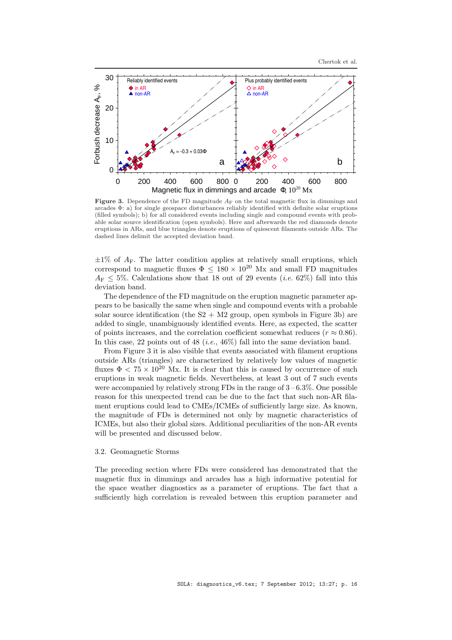

**Figure 3.** Dependence of the FD magnitude  $A_F$  on the total magnetic flux in dimmings and arcades Φ: a) for single geospace disturbances reliably identified with definite solar eruptions (filled symbols); b) for all considered events including single and compound events with probable solar source identification (open symbols). Here and afterwards the red diamonds denote eruptions in ARs, and blue triangles denote eruptions of quiescent filaments outside ARs. The dashed lines delimit the accepted deviation band.

 $\pm 1\%$  of  $A_F$ . The latter condition applies at relatively small eruptions, which correspond to magnetic fluxes  $\Phi \leq 180 \times 10^{20}$  Mx and small FD magnitudes  $A_{\rm F}$  < 5%. Calculations show that 18 out of 29 events (*i.e.* 62%) fall into this deviation band.

The dependence of the FD magnitude on the eruption magnetic parameter appears to be basically the same when single and compound events with a probable solar source identification (the  $S2 + M2$  group, open symbols in Figure 3b) are added to single, unambiguously identified events. Here, as expected, the scatter of points increases, and the correlation coefficient somewhat reduces ( $r \approx 0.86$ ). In this case, 22 points out of 48 (*i.e.*, 46%) fall into the same deviation band.

From Figure 3 it is also visible that events associated with filament eruptions outside ARs (triangles) are characterized by relatively low values of magnetic fluxes  $\Phi < 75 \times 10^{20}$  Mx. It is clear that this is caused by occurrence of such eruptions in weak magnetic fields. Nevertheless, at least 3 out of 7 such events were accompanied by relatively strong FDs in the range of  $3-6.3\%$ . One possible reason for this unexpected trend can be due to the fact that such non-AR filament eruptions could lead to CMEs/ICMEs of sufficiently large size. As known, the magnitude of FDs is determined not only by magnetic characteristics of ICMEs, but also their global sizes. Additional peculiarities of the non-AR events will be presented and discussed below.

# 3.2. Geomagnetic Storms

The preceding section where FDs were considered has demonstrated that the magnetic flux in dimmings and arcades has a high informative potential for the space weather diagnostics as a parameter of eruptions. The fact that a sufficiently high correlation is revealed between this eruption parameter and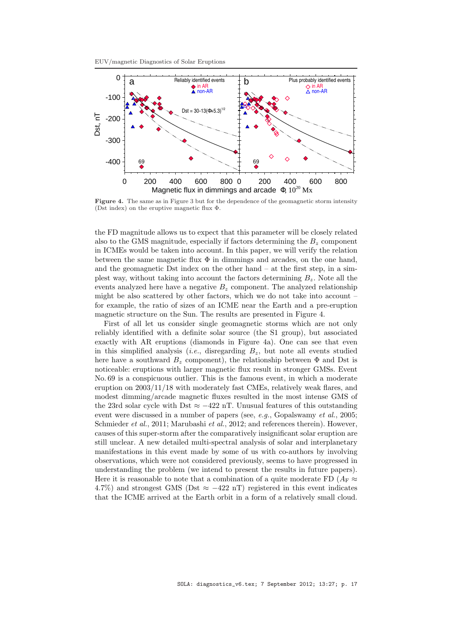



Figure 4. The same as in Figure 3 but for the dependence of the geomagnetic storm intensity (Dst index) on the eruptive magnetic flux Φ.

the FD magnitude allows us to expect that this parameter will be closely related also to the GMS magnitude, especially if factors determining the  $B<sub>z</sub>$  component in ICMEs would be taken into account. In this paper, we will verify the relation between the same magnetic flux  $\Phi$  in dimmings and arcades, on the one hand, and the geomagnetic Dst index on the other hand  $-$  at the first step, in a simplest way, without taking into account the factors determining  $B_z$ . Note all the events analyzed here have a negative  $B<sub>z</sub>$  component. The analyzed relationship might be also scattered by other factors, which we do not take into account – for example, the ratio of sizes of an ICME near the Earth and a pre-eruption magnetic structure on the Sun. The results are presented in Figure 4.

First of all let us consider single geomagnetic storms which are not only reliably identified with a definite solar source (the S1 group), but associated exactly with AR eruptions (diamonds in Figure 4a). One can see that even in this simplified analysis *(i.e., disregarding*  $B_z$ *, but note all events studied* here have a southward  $B<sub>z</sub>$  component), the relationship between  $\Phi$  and Dst is noticeable: eruptions with larger magnetic flux result in stronger GMSs. Event No. 69 is a conspicuous outlier. This is the famous event, in which a moderate eruption on 2003/11/18 with moderately fast CMEs, relatively weak flares, and modest dimming/arcade magnetic fluxes resulted in the most intense GMS of the 23rd solar cycle with Dst  $\approx -422$  nT. Unusual features of this outstanding event were discussed in a number of papers (see,  $e.g.,$  Gopalswamy  $et al., 2005;$ Schmieder *et al.*, 2011; Marubashi *et al.*, 2012; and references therein). However, causes of this super-storm after the comparatively insignificant solar eruption are still unclear. A new detailed multi-spectral analysis of solar and interplanetary manifestations in this event made by some of us with co-authors by involving observations, which were not considered previously, seems to have progressed in understanding the problem (we intend to present the results in future papers). Here it is reasonable to note that a combination of a quite moderate FD  $(A_F \approx$ 4.7%) and strongest GMS (Dst  $\approx -422$  nT) registered in this event indicates that the ICME arrived at the Earth orbit in a form of a relatively small cloud.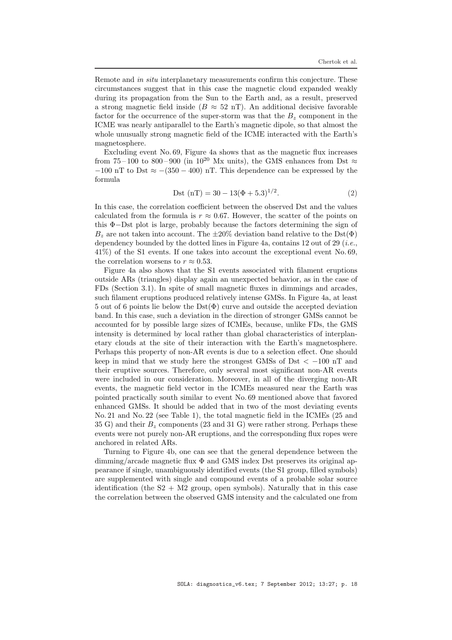Remote and in situ interplanetary measurements confirm this conjecture. These circumstances suggest that in this case the magnetic cloud expanded weakly during its propagation from the Sun to the Earth and, as a result, preserved a strong magnetic field inside ( $B \approx 52$  nT). An additional decisive favorable factor for the occurrence of the super-storm was that the  $B<sub>z</sub>$  component in the ICME was nearly antiparallel to the Earth's magnetic dipole, so that almost the whole unusually strong magnetic field of the ICME interacted with the Earth's magnetosphere.

Excluding event No. 69, Figure 4a shows that as the magnetic flux increases from 75 – 100 to 800 – 900 (in 10<sup>20</sup> Mx units), the GMS enhances from Dst  $\approx$  $-100$  nT to Dst  $\approx -(350 - 400)$  nT. This dependence can be expressed by the formula

$$
Dist (nT) = 30 - 13(\Phi + 5.3)^{1/2}.
$$
 (2)

In this case, the correlation coefficient between the observed Dst and the values calculated from the formula is  $r \approx 0.67$ . However, the scatter of the points on this Φ−Dst plot is large, probably because the factors determining the sign of  $B_z$  are not taken into account. The  $\pm 20\%$  deviation band relative to the Dst( $\Phi$ ) dependency bounded by the dotted lines in Figure 4a, contains 12 out of 29 (*i.e.*, 41%) of the S1 events. If one takes into account the exceptional event No. 69, the correlation worsens to  $r \approx 0.53$ .

Figure 4a also shows that the S1 events associated with filament eruptions outside ARs (triangles) display again an unexpected behavior, as in the case of FDs (Section 3.1). In spite of small magnetic fluxes in dimmings and arcades, such filament eruptions produced relatively intense GMSs. In Figure 4a, at least 5 out of 6 points lie below the  $\text{Dst}(\Phi)$  curve and outside the accepted deviation band. In this case, such a deviation in the direction of stronger GMSs cannot be accounted for by possible large sizes of ICMEs, because, unlike FDs, the GMS intensity is determined by local rather than global characteristics of interplanetary clouds at the site of their interaction with the Earth's magnetosphere. Perhaps this property of non-AR events is due to a selection effect. One should keep in mind that we study here the strongest GMSs of Dst  $\lt$  -100 nT and their eruptive sources. Therefore, only several most significant non-AR events were included in our consideration. Moreover, in all of the diverging non-AR events, the magnetic field vector in the ICMEs measured near the Earth was pointed practically south similar to event No. 69 mentioned above that favored enhanced GMSs. It should be added that in two of the most deviating events No. 21 and No. 22 (see Table 1), the total magnetic field in the ICMEs (25 and 35 G) and their  $B_z$  components (23 and 31 G) were rather strong. Perhaps these events were not purely non-AR eruptions, and the corresponding flux ropes were anchored in related ARs.

Turning to Figure 4b, one can see that the general dependence between the dimming/arcade magnetic flux Φ and GMS index Dst preserves its original appearance if single, unambiguously identified events (the S1 group, filled symbols) are supplemented with single and compound events of a probable solar source identification (the  $S2 + M2$  group, open symbols). Naturally that in this case the correlation between the observed GMS intensity and the calculated one from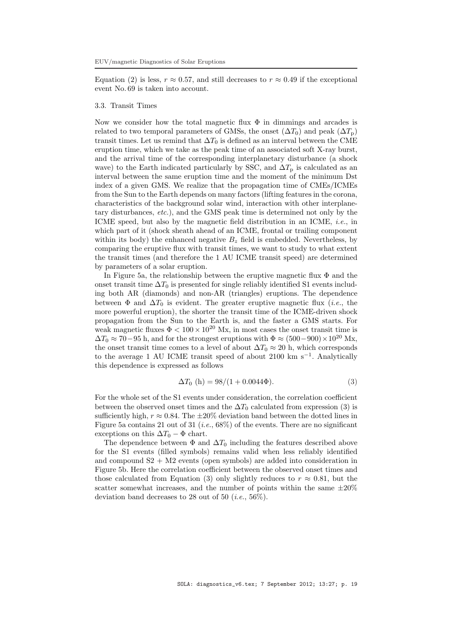Equation (2) is less,  $r \approx 0.57$ , and still decreases to  $r \approx 0.49$  if the exceptional event No. 69 is taken into account.

# 3.3. Transit Times

Now we consider how the total magnetic flux  $\Phi$  in dimmings and arcades is related to two temporal parameters of GMSs, the onset  $(\Delta T_0)$  and peak  $(\Delta T_0)$ transit times. Let us remind that  $\Delta T_0$  is defined as an interval between the CME eruption time, which we take as the peak time of an associated soft X-ray burst, and the arrival time of the corresponding interplanetary disturbance (a shock wave) to the Earth indicated particularly by SSC, and  $\Delta T_{\rm p}$  is calculated as an interval between the same eruption time and the moment of the minimum Dst index of a given GMS. We realize that the propagation time of CMEs/ICMEs from the Sun to the Earth depends on many factors (lifting features in the corona, characteristics of the background solar wind, interaction with other interplanetary disturbances, etc.), and the GMS peak time is determined not only by the ICME speed, but also by the magnetic field distribution in an ICME, *i.e.*, in which part of it (shock sheath ahead of an ICME, frontal or trailing component within its body) the enhanced negative  $B<sub>z</sub>$  field is embedded. Nevertheless, by comparing the eruptive flux with transit times, we want to study to what extent the transit times (and therefore the 1 AU ICME transit speed) are determined by parameters of a solar eruption.

In Figure 5a, the relationship between the eruptive magnetic flux  $\Phi$  and the onset transit time  $\Delta T_0$  is presented for single reliably identified S1 events including both AR (diamonds) and non-AR (triangles) eruptions. The dependence between  $\Phi$  and  $\Delta T_0$  is evident. The greater eruptive magnetic flux (*i.e.*, the more powerful eruption), the shorter the transit time of the ICME-driven shock propagation from the Sun to the Earth is, and the faster a GMS starts. For weak magnetic fluxes  $\Phi < 100 \times 10^{20}$  Mx, in most cases the onset transit time is  $\Delta T_0 \approx 70-95$  h, and for the strongest eruptions with  $\Phi \approx (500-900) \times 10^{20}$  Mx, the onset transit time comes to a level of about  $\Delta T_0 \approx 20$  h, which corresponds to the average 1 AU ICME transit speed of about 2100 km s<sup>−</sup><sup>1</sup> . Analytically this dependence is expressed as follows

$$
\Delta T_0 \text{ (h)} = 98/(1 + 0.0044\Phi). \tag{3}
$$

For the whole set of the S1 events under consideration, the correlation coefficient between the observed onset times and the  $\Delta T_0$  calculated from expression (3) is sufficiently high,  $r \approx 0.84$ . The  $\pm 20\%$  deviation band between the dotted lines in Figure 5a contains 21 out of 31 (*i.e.*,  $68\%$ ) of the events. There are no significant exceptions on this  $\Delta T_0 - \Phi$  chart.

The dependence between  $\Phi$  and  $\Delta T_0$  including the features described above for the S1 events (filled symbols) remains valid when less reliably identified and compound  $S2 + M2$  events (open symbols) are added into consideration in Figure 5b. Here the correlation coefficient between the observed onset times and those calculated from Equation (3) only slightly reduces to  $r \approx 0.81$ , but the scatter somewhat increases, and the number of points within the same  $\pm 20\%$ deviation band decreases to 28 out of 50 (*i.e.*, 56\%).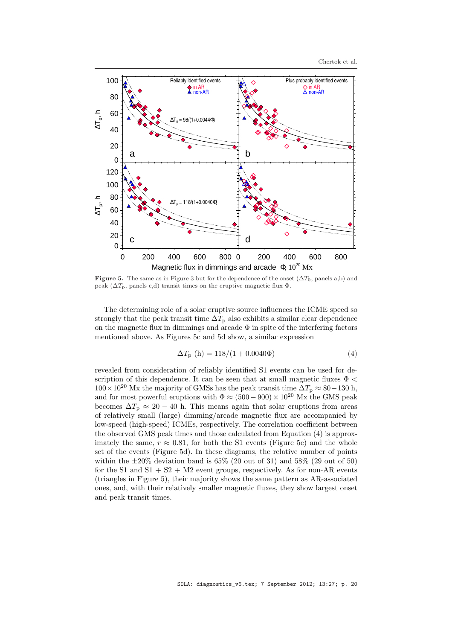

Figure 5. The same as in Figure 3 but for the dependence of the onset  $(\Delta T_0)$ , panels a,b) and peak ( $\Delta T_{\rm p}$ , panels c,d) transit times on the eruptive magnetic flux  $\Phi$ .

The determining role of a solar eruptive source influences the ICME speed so strongly that the peak transit time  $\Delta T_p$  also exhibits a similar clear dependence on the magnetic flux in dimmings and arcade  $\Phi$  in spite of the interfering factors mentioned above. As Figures 5c and 5d show, a similar expression

$$
\Delta T_{\rm p} \text{ (h)} = 118/(1 + 0.0040\Phi) \tag{4}
$$

revealed from consideration of reliably identified S1 events can be used for description of this dependence. It can be seen that at small magnetic fluxes  $\Phi$  <  $100\times10^{20}$  Mx the majority of GMSs has the peak transit time  $\Delta T_{\rm p} \approx 80-130$  h, and for most powerful eruptions with  $\Phi \approx (500 - 900) \times 10^{20}$  Mx the GMS peak becomes  $\Delta T_p \approx 20 - 40$  h. This means again that solar eruptions from areas of relatively small (large) dimming/arcade magnetic flux are accompanied by low-speed (high-speed) ICMEs, respectively. The correlation coefficient between the observed GMS peak times and those calculated from Equation (4) is approximately the same,  $r \approx 0.81$ , for both the S1 events (Figure 5c) and the whole set of the events (Figure 5d). In these diagrams, the relative number of points within the  $\pm 20\%$  deviation band is 65% (20 out of 31) and 58% (29 out of 50) for the S1 and  $S1 + S2 + M2$  event groups, respectively. As for non-AR events (triangles in Figure 5), their majority shows the same pattern as AR-associated ones, and, with their relatively smaller magnetic fluxes, they show largest onset and peak transit times.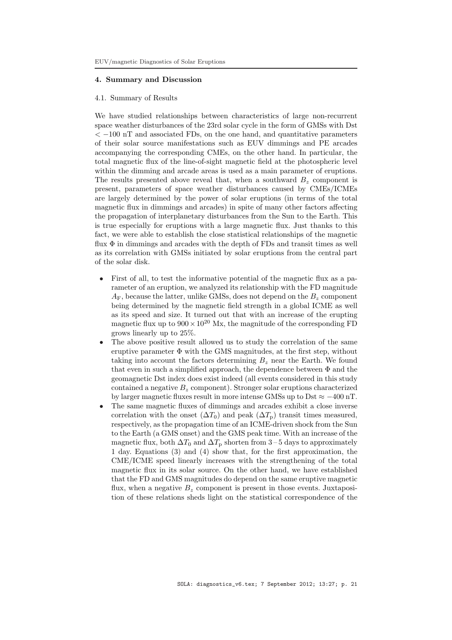# 4. Summary and Discussion

### 4.1. Summary of Results

We have studied relationships between characteristics of large non-recurrent space weather disturbances of the 23rd solar cycle in the form of GMSs with Dst  $<-100$  nT and associated FDs, on the one hand, and quantitative parameters of their solar source manifestations such as EUV dimmings and PE arcades accompanying the corresponding CMEs, on the other hand. In particular, the total magnetic flux of the line-of-sight magnetic field at the photospheric level within the dimming and arcade areas is used as a main parameter of eruptions. The results presented above reveal that, when a southward  $B<sub>z</sub>$  component is present, parameters of space weather disturbances caused by CMEs/ICMEs are largely determined by the power of solar eruptions (in terms of the total magnetic flux in dimmings and arcades) in spite of many other factors affecting the propagation of interplanetary disturbances from the Sun to the Earth. This is true especially for eruptions with a large magnetic flux. Just thanks to this fact, we were able to establish the close statistical relationships of the magnetic flux  $\Phi$  in dimmings and arcades with the depth of FDs and transit times as well as its correlation with GMSs initiated by solar eruptions from the central part of the solar disk.

- First of all, to test the informative potential of the magnetic flux as a parameter of an eruption, we analyzed its relationship with the FD magnitude  $A_F$ , because the latter, unlike GMSs, does not depend on the  $B_z$  component being determined by the magnetic field strength in a global ICME as well as its speed and size. It turned out that with an increase of the erupting magnetic flux up to  $900 \times 10^{20}$  Mx, the magnitude of the corresponding FD grows linearly up to 25%.
- The above positive result allowed us to study the correlation of the same eruptive parameter  $\Phi$  with the GMS magnitudes, at the first step, without taking into account the factors determining  $B<sub>z</sub>$  near the Earth. We found that even in such a simplified approach, the dependence between  $\Phi$  and the geomagnetic Dst index does exist indeed (all events considered in this study contained a negative  $B<sub>z</sub>$  component). Stronger solar eruptions characterized by larger magnetic fluxes result in more intense GMSs up to Dst  $\approx -400$  nT.
- The same magnetic fluxes of dimmings and arcades exhibit a close inverse correlation with the onset  $(\Delta T_0)$  and peak  $(\Delta T_p)$  transit times measured, respectively, as the propagation time of an ICME-driven shock from the Sun to the Earth (a GMS onset) and the GMS peak time. With an increase of the magnetic flux, both  $\Delta T_0$  and  $\Delta T_p$  shorten from 3 – 5 days to approximately 1 day. Equations (3) and (4) show that, for the first approximation, the CME/ICME speed linearly increases with the strengthening of the total magnetic flux in its solar source. On the other hand, we have established that the FD and GMS magnitudes do depend on the same eruptive magnetic flux, when a negative  $B<sub>z</sub>$  component is present in those events. Juxtaposition of these relations sheds light on the statistical correspondence of the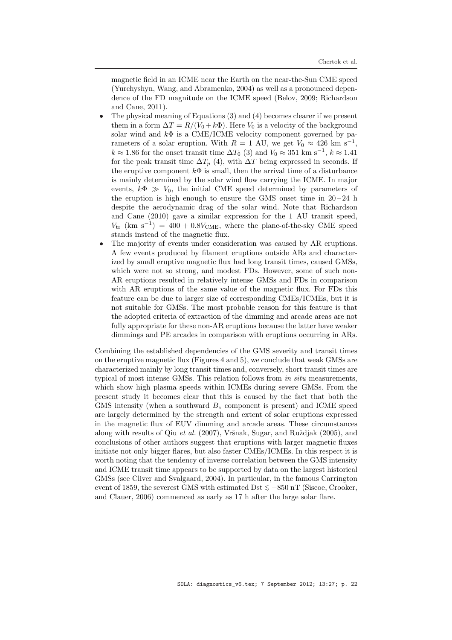magnetic field in an ICME near the Earth on the near-the-Sun CME speed (Yurchyshyn, Wang, and Abramenko, 2004) as well as a pronounced dependence of the FD magnitude on the ICME speed (Belov, 2009; Richardson and Cane, 2011).

- The physical meaning of Equations (3) and (4) becomes clearer if we present them in a form  $\Delta T = R/(V_0 + k\Phi)$ . Here  $V_0$  is a velocity of the background solar wind and  $k\Phi$  is a CME/ICME velocity component governed by parameters of a solar eruption. With  $R = 1$  AU, we get  $V_0 \approx 426$  km s<sup>-1</sup>,  $k \approx 1.86$  for the onset transit time  $\Delta T_0$  (3) and  $V_0 \approx 351$  km s<sup>-1</sup>,  $k \approx 1.41$ for the peak transit time  $\Delta T_p$  (4), with  $\Delta T$  being expressed in seconds. If the eruptive component  $k\Phi$  is small, then the arrival time of a disturbance is mainly determined by the solar wind flow carrying the ICME. In major events,  $k\Phi \gg V_0$ , the initial CME speed determined by parameters of the eruption is high enough to ensure the GMS onset time in  $20-24$  h despite the aerodynamic drag of the solar wind. Note that Richardson and Cane (2010) gave a similar expression for the 1 AU transit speed,  $V_{\text{tr}}$  (km s<sup>-1</sup>) = 400 + 0.8V<sub>CME</sub>, where the plane-of-the-sky CME speed stands instead of the magnetic flux.
- The majority of events under consideration was caused by AR eruptions. A few events produced by filament eruptions outside ARs and characterized by small eruptive magnetic flux had long transit times, caused GMSs, which were not so strong, and modest FDs. However, some of such non-AR eruptions resulted in relatively intense GMSs and FDs in comparison with AR eruptions of the same value of the magnetic flux. For FDs this feature can be due to larger size of corresponding CMEs/ICMEs, but it is not suitable for GMSs. The most probable reason for this feature is that the adopted criteria of extraction of the dimming and arcade areas are not fully appropriate for these non-AR eruptions because the latter have weaker dimmings and PE arcades in comparison with eruptions occurring in ARs.

Combining the established dependencies of the GMS severity and transit times on the eruptive magnetic flux (Figures 4 and 5), we conclude that weak GMSs are characterized mainly by long transit times and, conversely, short transit times are typical of most intense GMSs. This relation follows from in situ measurements, which show high plasma speeds within ICMEs during severe GMSs. From the present study it becomes clear that this is caused by the fact that both the GMS intensity (when a southward  $B<sub>z</sub>$  component is present) and ICME speed are largely determined by the strength and extent of solar eruptions expressed in the magnetic flux of EUV dimming and arcade areas. These circumstances along with results of Qiu et al.  $(2007)$ , Vršnak, Sugar, and Ruždjak  $(2005)$ , and conclusions of other authors suggest that eruptions with larger magnetic fluxes initiate not only bigger flares, but also faster CMEs/ICMEs. In this respect it is worth noting that the tendency of inverse correlation between the GMS intensity and ICME transit time appears to be supported by data on the largest historical GMSs (see Cliver and Svalgaard, 2004). In particular, in the famous Carrington event of 1859, the severest GMS with estimated Dst  $\lesssim -850$  nT (Siscoe, Crooker, and Clauer, 2006) commenced as early as 17 h after the large solar flare.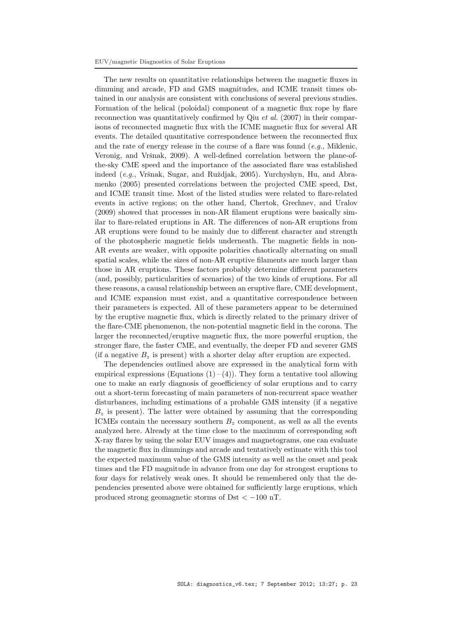The new results on quantitative relationships between the magnetic fluxes in dimming and arcade, FD and GMS magnitudes, and ICME transit times obtained in our analysis are consistent with conclusions of several previous studies. Formation of the helical (poloidal) component of a magnetic flux rope by flare reconnection was quantitatively confirmed by Qiu *et al.* (2007) in their comparisons of reconnected magnetic flux with the ICME magnetic flux for several AR events. The detailed quantitative correspondence between the reconnected flux and the rate of energy release in the course of a flare was found  $(e.g.,$  Miklenic, Veronig, and Vršnak, 2009). A well-defined correlation between the plane-ofthe-sky CME speed and the importance of the associated flare was established indeed (e.g., Vršnak, Sugar, and Ruždjak, 2005). Yurchyshyn, Hu, and Abramenko (2005) presented correlations between the projected CME speed, Dst, and ICME transit time. Most of the listed studies were related to flare-related events in active regions; on the other hand, Chertok, Grechnev, and Uralov (2009) showed that processes in non-AR filament eruptions were basically similar to flare-related eruptions in AR. The differences of non-AR eruptions from AR eruptions were found to be mainly due to different character and strength of the photospheric magnetic fields underneath. The magnetic fields in non-AR events are weaker, with opposite polarities chaotically alternating on small spatial scales, while the sizes of non-AR eruptive filaments are much larger than those in AR eruptions. These factors probably determine different parameters (and, possibly, particularities of scenarios) of the two kinds of eruptions. For all these reasons, a causal relationship between an eruptive flare, CME development, and ICME expansion must exist, and a quantitative correspondence between their parameters is expected. All of these parameters appear to be determined by the eruptive magnetic flux, which is directly related to the primary driver of the flare-CME phenomenon, the non-potential magnetic field in the corona. The larger the reconnected/eruptive magnetic flux, the more powerful eruption, the stronger flare, the faster CME, and eventually, the deeper FD and severer GMS (if a negative  $B_z$  is present) with a shorter delay after eruption are expected.

The dependencies outlined above are expressed in the analytical form with empirical expressions (Equations  $(1)$  –  $(4)$ ). They form a tentative tool allowing one to make an early diagnosis of geoefficiency of solar eruptions and to carry out a short-term forecasting of main parameters of non-recurrent space weather disturbances, including estimations of a probable GMS intensity (if a negative  $B<sub>z</sub>$  is present). The latter were obtained by assuming that the corresponding ICMEs contain the necessary southern  $B<sub>z</sub>$  component, as well as all the events analyzed here. Already at the time close to the maximum of corresponding soft X-ray flares by using the solar EUV images and magnetograms, one can evaluate the magnetic flux in dimmings and arcade and tentatively estimate with this tool the expected maximum value of the GMS intensity as well as the onset and peak times and the FD magnitude in advance from one day for strongest eruptions to four days for relatively weak ones. It should be remembered only that the dependencies presented above were obtained for sufficiently large eruptions, which produced strong geomagnetic storms of Dst  $\lt$  -100 nT.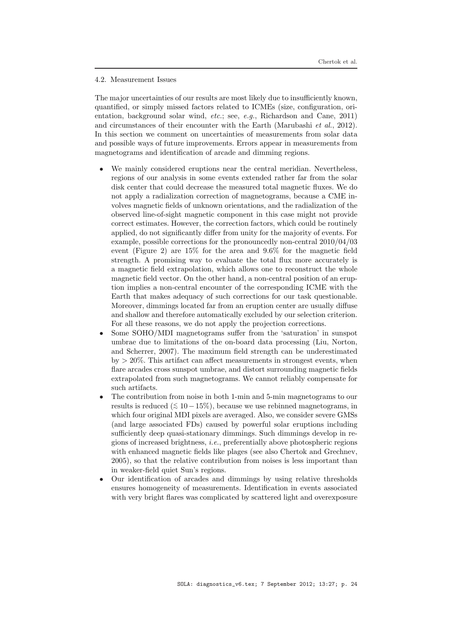#### 4.2. Measurement Issues

The major uncertainties of our results are most likely due to insufficiently known, quantified, or simply missed factors related to ICMEs (size, configuration, orientation, background solar wind, etc.; see, e.g., Richardson and Cane, 2011) and circumstances of their encounter with the Earth (Marubashi *et al.*, 2012). In this section we comment on uncertainties of measurements from solar data and possible ways of future improvements. Errors appear in measurements from magnetograms and identification of arcade and dimming regions.

- We mainly considered eruptions near the central meridian. Nevertheless, regions of our analysis in some events extended rather far from the solar disk center that could decrease the measured total magnetic fluxes. We do not apply a radialization correction of magnetograms, because a CME involves magnetic fields of unknown orientations, and the radialization of the observed line-of-sight magnetic component in this case might not provide correct estimates. However, the correction factors, which could be routinely applied, do not significantly differ from unity for the majority of events. For example, possible corrections for the pronouncedly non-central 2010/04/03 event (Figure 2) are 15% for the area and 9.6% for the magnetic field strength. A promising way to evaluate the total flux more accurately is a magnetic field extrapolation, which allows one to reconstruct the whole magnetic field vector. On the other hand, a non-central position of an eruption implies a non-central encounter of the corresponding ICME with the Earth that makes adequacy of such corrections for our task questionable. Moreover, dimmings located far from an eruption center are usually diffuse and shallow and therefore automatically excluded by our selection criterion. For all these reasons, we do not apply the projection corrections.
- Some SOHO/MDI magnetograms suffer from the 'saturation' in sunspot umbrae due to limitations of the on-board data processing (Liu, Norton, and Scherrer, 2007). The maximum field strength can be underestimated  $by > 20\%$ . This artifact can affect measurements in strongest events, when flare arcades cross sunspot umbrae, and distort surrounding magnetic fields extrapolated from such magnetograms. We cannot reliably compensate for such artifacts.
- The contribution from noise in both 1-min and 5-min magnetograms to our results is reduced  $( ≤ 10-15\%)$ , because we use rebinned magnetograms, in which four original MDI pixels are averaged. Also, we consider severe GMSs (and large associated FDs) caused by powerful solar eruptions including sufficiently deep quasi-stationary dimmings. Such dimmings develop in regions of increased brightness, *i.e.*, preferentially above photospheric regions with enhanced magnetic fields like plages (see also Chertok and Grechnev, 2005), so that the relative contribution from noises is less important than in weaker-field quiet Sun's regions.
- Our identification of arcades and dimmings by using relative thresholds ensures homogeneity of measurements. Identification in events associated with very bright flares was complicated by scattered light and overexposure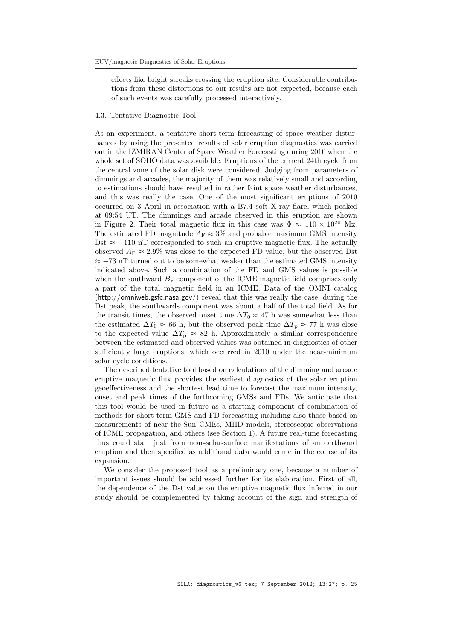effects like bright streaks crossing the eruption site. Considerable contributions from these distortions to our results are not expected, because each of such events was carefully processed interactively.

# 4.3. Tentative Diagnostic Tool

As an experiment, a tentative short-term forecasting of space weather disturbances by using the presented results of solar eruption diagnostics was carried out in the IZMIRAN Center of Space Weather Forecasting during 2010 when the whole set of SOHO data was available. Eruptions of the current 24th cycle from the central zone of the solar disk were considered. Judging from parameters of dimmings and arcades, the majority of them was relatively small and according to estimations should have resulted in rather faint space weather disturbances, and this was really the case. One of the most significant eruptions of 2010 occurred on 3 April in association with a B7.4 soft X-ray flare, which peaked at 09:54 UT. The dimmings and arcade observed in this eruption are shown in Figure 2. Their total magnetic flux in this case was  $\Phi \approx 110 \times 10^{20}$  Mx. The estimated FD magnitude  $A_F \approx 3\%$  and probable maximum GMS intensity Dst  $\approx$  -110 nT corresponded to such an eruptive magnetic flux. The actually observed  $A_F \approx 2.9\%$  was close to the expected FD value, but the observed Dst  $\approx$  -73 nT turned out to be somewhat weaker than the estimated GMS intensity indicated above. Such a combination of the FD and GMS values is possible when the southward  $B<sub>z</sub>$  component of the ICME magnetic field comprises only a part of the total magnetic field in an ICME. Data of the OMNI catalog (http://omniweb.gsfc.nasa.gov/) reveal that this was really the case: during the Dst peak, the southwards component was about a half of the total field. As for the transit times, the observed onset time  $\Delta T_0 \approx 47$  h was somewhat less than the estimated  $\Delta T_0 \approx 66$  h, but the observed peak time  $\Delta T_p \approx 77$  h was close to the expected value  $\Delta T_{\rm p} \approx 82$  h. Approximately a similar correspondence between the estimated and observed values was obtained in diagnostics of other sufficiently large eruptions, which occurred in 2010 under the near-minimum solar cycle conditions.

The described tentative tool based on calculations of the dimming and arcade eruptive magnetic flux provides the earliest diagnostics of the solar eruption geoeffectiveness and the shortest lead time to forecast the maximum intensity, onset and peak times of the forthcoming GMSs and FDs. We anticipate that this tool would be used in future as a starting component of combination of methods for short-term GMS and FD forecasting including also those based on measurements of near-the-Sun CMEs, MHD models, stereoscopic observations of ICME propagation, and others (see Section 1). A future real-time forecasting thus could start just from near-solar-surface manifestations of an earthward eruption and then specified as additional data would come in the course of its expansion.

We consider the proposed tool as a preliminary one, because a number of important issues should be addressed further for its elaboration. First of all, the dependence of the Dst value on the eruptive magnetic flux inferred in our study should be complemented by taking account of the sign and strength of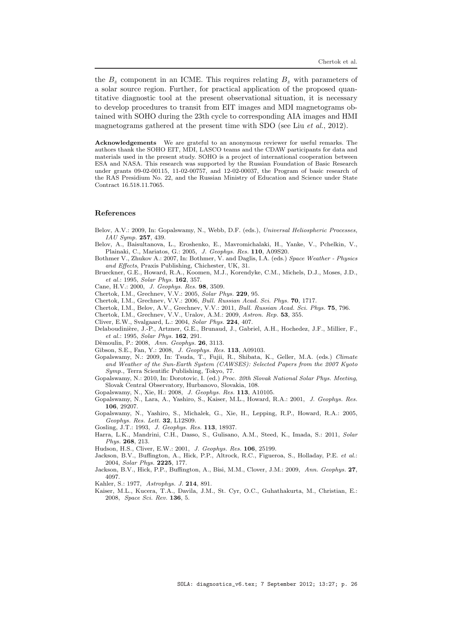the  $B<sub>z</sub>$  component in an ICME. This requires relating  $B<sub>z</sub>$  with parameters of a solar source region. Further, for practical application of the proposed quantitative diagnostic tool at the present observational situation, it is necessary to develop procedures to transit from EIT images and MDI magnetograms obtained with SOHO during the 23th cycle to corresponding AIA images and HMI magnetograms gathered at the present time with SDO (see Liu  $et al., 2012$ ).

Acknowledgements We are grateful to an anonymous reviewer for useful remarks. The authors thank the SOHO EIT, MDI, LASCO teams and the CDAW participants for data and materials used in the present study. SOHO is a project of international cooperation between ESA and NASA. This research was supported by the Russian Foundation of Basic Research under grants 09-02-00115, 11-02-00757, and 12-02-00037, the Program of basic research of the RAS Presidium No. 22, and the Russian Ministry of Education and Science under State Contract 16.518.11.7065.

### References

- Belov, A.V.: 2009, In: Gopalswamy, N., Webb, D.F. (eds.), Universal Heliospheric Processes, IAU Symp. 257, 439.
- Belov, A., Baisultanova, L., Eroshenko, E., Mavromichalaki, H., Yanke, V., Pchelkin, V., Plainaki, C., Mariatos, G.: 2005, J. Geophys. Res. 110, A09S20.
- Bothmer V., Zhukov A.: 2007, In: Bothmer, V. and Daglis, I.A. (eds.) Space Weather Physics and Effects, Praxis Publishing, Chichester, UK, 31.
- Brueckner, G.E., Howard, R.A., Koomen, M.J., Korendyke, C.M., Michels, D.J., Moses, J.D., et al.: 1995, Solar Phys. 162, 357.
- Cane, H.V.: 2000, J. Geophys. Res. 98, 3509.
- Chertok, I.M., Grechnev, V.V.: 2005, Solar Phys. 229, 95.
- Chertok, I.M., Grechnev, V.V.: 2006, Bull. Russian Acad. Sci. Phys. 70, 1717.
- Chertok, I.M., Belov, A.V., Grechnev, V.V.: 2011, Bull. Russian Acad. Sci. Phys. 75, 796.
- Chertok, I.M., Grechnev, V.V., Uralov, A.M.: 2009, Astron. Rep. 53, 355.
- Cliver, E.W., Svalgaard, L.: 2004, Solar Phys. 224, 407.
- Delaboudinière, J.-P., Artzner, G.E., Brunaud, J., Gabriel, A.H., Hochedez, J.F., Millier, F., et al.: 1995, Solar Phys. 162, 291.
- Dèmoulin, P.: 2008, Ann. Geophys. 26, 3113.
- Gibson, S.E., Fan, Y.: 2008, J. Geophys. Res. 113, A09103.
- Gopalswamy, N.: 2009, In: Tsuda, T., Fujii, R., Shibata, K., Geller, M.A. (eds.) Climate and Weather of the Sun-Earth System (CAWSES): Selected Papers from the 2007 Kyoto Symp., Terra Scientific Publishing, Tokyo, 77.
- Gopalswamy, N.: 2010, In: Dorotovic, I. (ed.) Proc. 20th Slovak National Solar Phys. Meeting, Slovak Central Observatory, Hurbanovo, Slovakia, 108.
- Gopalswamy, N., Xie, H.: 2008, J. Geophys. Res. 113, A10105.
- Gopalswamy, N., Lara, A., Yashiro, S., Kaiser, M.L., Howard, R.A.: 2001, J. Geophys. Res. 106, 29207.
- Gopalswamy, N., Yashiro, S., Michalek, G., Xie, H., Lepping, R.P., Howard, R.A.: 2005, Geophys. Res. Lett. 32, L12S09.
- Gosling, J.T.: 1993, J. Geophys. Res. 113, 18937.
- Harra, L.K., Mandrini, C.H., Dasso, S., Gulisano, A.M., Steed, K., Imada, S.: 2011, Solar Phys. 268, 213.
- Hudson, H.S., Cliver, E.W.: 2001, J. Geophys. Res. 106, 25199.
- Jackson, B.V., Buffington, A., Hick, P.P., Altrock, R.C., Figueroa, S., Holladay, P.E. et al.: 2004, Solar Phys. 2225, 177.
- Jackson, B.V., Hick, P.P., Buffington, A., Bisi, M.M., Clover, J.M.: 2009, Ann. Geophys. 27, 4097.

Kahler, S.: 1977, Astrophys. J. 214, 891.

Kaiser, M.L., Kucera, T.A., Davila, J.M., St. Cyr, O.C., Guhathakurta, M., Christian, E.: 2008, Space Sci. Rev. 136, 5.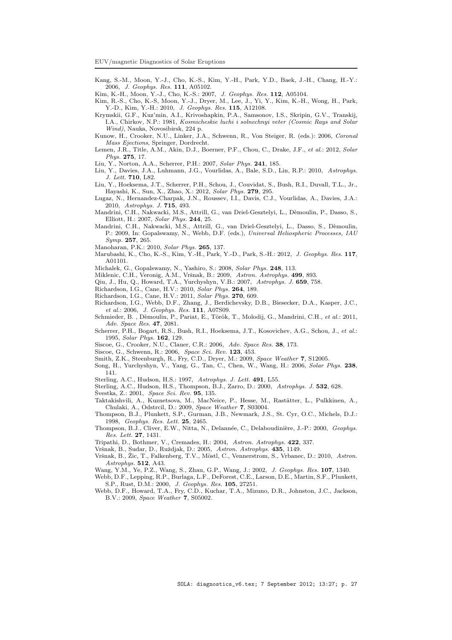- Kang, S.-M., Moon, Y.-J., Cho, K.-S., Kim, Y.-H., Park, Y.D., Baek, J.-H., Chang, H.-Y.: 2006, J. Geophys. Res. 111, A05102.
- Kim, K.-H., Moon, Y.-J., Cho, K.-S.: 2007, J. Geophys. Res. 112, A05104.
- Kim, R.-S., Cho, K.-S, Moon, Y.-J., Dryer, M., Lee, J., Yi, Y., Kim, K.-H., Wong, H., Park, Y.-D., Kim, Y.-H.: 2010, J. Geophys. Res. 115, A12108.
- Krymskii, G.F., Kuz'min, A.I., Krivoshapkin, P.A., Samsonov, I.S., Skripin, G.V., Transkij, I.A., Chirkov, N.P.: 1981, Kosmicheskie luchi i solnechnyi veter (Cosmic Rays and Solar Wind), Nauka, Novosibirsk, 224 p.
- Kunow, H., Crooker, N.U., Linker, J.A., Schwenn, R., Von Steiger, R. (eds.): 2006, Coronal Mass Ejections, Springer, Dordrecht.
- Lemen, J.R., Title, A.M., Akin, D.J., Boerner, P.F., Chou, C., Drake, J.F., et al.: 2012, Solar Phys. 275, 17.
- Liu, Y., Norton, A.A., Scherrer, P.H.: 2007, Solar Phys. 241, 185.
- Liu, Y., Davies, J.A., Luhmann, J.G., Vourlidas, A., Bale, S.D., Lin, R.P.: 2010, Astrophys. J. Lett. 710, L82.
- Liu, Y., Hoeksema, J.T., Scherrer, P.H., Schou, J., Couvidat, S., Bush, R.I., Duvall, T.L., Jr., Hayashi, K., Sun, X., Zhao, X.: 2012, Solar Phys. 279, 295.
- Lugaz, N., Hernandez-Charpak, J.N., Roussev, I.I., Davis, C.J., Vourlidas, A., Davies, J.A.: 2010, Astrophys. J. 715, 493.
- Mandrini, C.H., Nakwacki, M.S., Attrill, G., van Driel-Gesztelyi, L., Dèmoulin, P., Dasso, S., Elliott, H.: 2007, Solar Phys. 244, 25.
- Mandrini, C.H., Nakwacki, M.S., Attrill, G., van Driel-Gesztelyi, L., Dasso, S., Dèmoulin, P.: 2009, In: Gopalswamy, N., Webb, D.F. (eds.), Universal Heliospheric Processes, IAU Symp. 257, 265.
- Manoharan, P.K.: 2010, Solar Phys. 265, 137.
- Marubashi, K., Cho, K.-S., Kim, Y.-H., Park, Y.-D., Park, S.-H.: 2012, J. Geophys. Res. 117, A01101.
- Michalek, G., Gopalswamy, N., Yashiro, S.: 2008, Solar Phys. 248, 113.
- Miklenic, C.H., Veronig, A.M., Vršnak, B.: 2009, Astron. Astrophys. 499, 893.
- Qiu, J., Hu, Q., Howard, T.A., Yurchyshyn, V.B.: 2007, Astrophys. J. 659, 758.
- Richardson, I.G., Cane, H.V.: 2010, Solar Phys. 264, 189.
- Richardson, I.G., Cane, H.V.: 2011, Solar Phys. 270, 609.
- Richardson, I.G., Webb, D.F., Zhang, J., Berdichevsky, D.B., Biesecker, D.A., Kasper, J.C., et al.: 2006, J. Geophys. Res. 111, A07S09.
- Schmieder, B., Dèmoulin, P., Pariat, E., Török, T., Molodij, G., Mandrini, C.H., et al.: 2011, Adv. Space Res. 47, 2081.
- Scherrer, P.H., Bogart, R.S., Bush, R.I., Hoeksema, J.T., Kosovichev, A.G., Schou, J., et al.: 1995, Solar Phys. 162, 129.
- Siscoe, G., Crooker, N.U., Clauer, C.R.: 2006, Adv. Space Res. 38, 173.
- Siscoe, G., Schwenn, R.: 2006, Space Sci. Rev. 123, 453.
- Smith, Z.K., Steenburgh, R., Fry, C.D., Dryer, M.: 2009, Space Weather 7, S12005.
- Song, H., Yurchyshyn, V., Yang, G., Tan, C., Chen, W., Wang, H.: 2006, Solar Phys. 238, 141.
- Sterling, A.C., Hudson, H.S.: 1997, Astrophys. J. Lett. 491, L55.
- Sterling, A.C., Hudson, H.S., Thompson, B.J., Zarro, D.: 2000, Astrophys. J. 532, 628.
- Švestka, Z.: 2001, Space Sci. Rev. 95, 135.
- Taktakishvili, A., Kuznetsova, M., MacNeice, P., Hesse, M., Rastätter, L., Pulkkinen, A., Chulaki, A., Odstrcil, D.: 2009, Space Weather 7, S03004.
- Thompson, B.J., Plunkett, S.P., Gurman, J.B., Newmark, J.S., St. Cyr, O.C., Michels, D.J.: 1998, Geophys. Res. Lett. 25, 2465.
- Thompson, B.J., Cliver, E.W., Nitta, N., Delannée, C., Delaboudinière, J.-P.: 2000, Geophys. Res. Lett. 27, 1431.
- Tripathi, D., Bothmer, V., Cremades, H.: 2004, Astron. Astrophys. 422, 337.
- Vršnak, B., Sudar, D., Ruždjak, D.: 2005, Astron. Astrophys. 435, 1149.
- Vršnak, B., Žic, T., Falkenberg, T.V., Möstl, C., Vennerstrom, S., Vrbanec, D.: 2010, Astron. Astrophys. 512, A43.
- Wang, Y.M., Ye, P.Z., Wang, S., Zhau, G.P., Wang, J.: 2002, J. Geophys. Res. 107, 1340.
- Webb, D.F., Lepping, R.P., Burlaga, L.F., DeForest, C.E., Larson, D.E., Martin, S.F., Plunkett, S.P., Rust, D.M.: 2000, J. Geophys. Res. 105, 27251.
- Webb, D.F., Howard, T.A., Fry, C.D., Kuchar, T.A., Mizuno, D.R., Johnston, J.C., Jackson, B.V.: 2009, Space Weather 7, S05002.